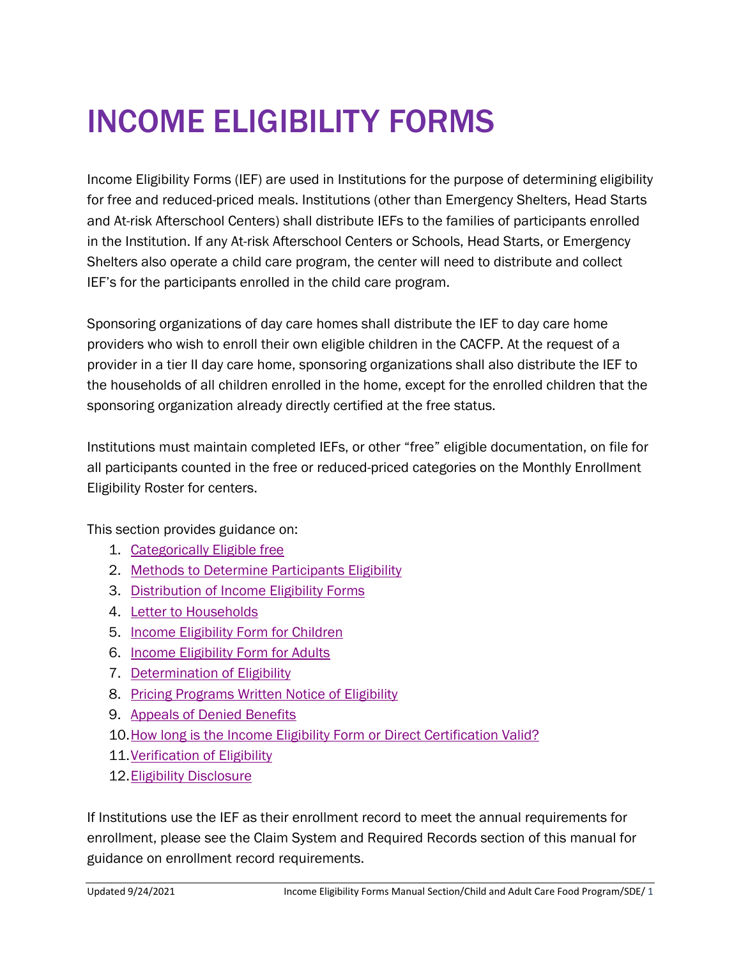# INCOME ELIGIBILITY FORMS

Income Eligibility Forms (IEF) are used in Institutions for the purpose of determining eligibility for free and reduced-priced meals. Institutions (other than Emergency Shelters, Head Starts and At-risk Afterschool Centers) shall distribute IEFs to the families of participants enrolled in the Institution. If any At-risk Afterschool Centers or Schools, Head Starts, or Emergency Shelters also operate a child care program, the center will need to distribute and collect IEF's for the participants enrolled in the child care program.

Sponsoring organizations of day care homes shall distribute the IEF to day care home providers who wish to enroll their own eligible children in the CACFP. At the request of a provider in a tier II day care home, sponsoring organizations shall also distribute the IEF to the households of all children enrolled in the home, except for the enrolled children that the sponsoring organization already directly certified at the free status.

Institutions must maintain completed IEFs, or other "free" eligible documentation, on file for all participants counted in the free or reduced-priced categories on the Monthly Enrollment Eligibility Roster for centers.

This section provides guidance on:

- 1. [Categorically Eligible free](#page-1-0)
- 2. [Methods to Determine Participants Eligibility](#page-1-1)
- 3. [Distribution of Income Eligibility Forms](#page-4-0)
- 4. [Letter to Households](#page-6-0)
- 5. [Income Eligibility Form for Children](#page-8-0)
- 6. [Income Eligibility Form for Adults](#page-11-0)
- 7. [Determination of Eligibility](#page-14-0)
- 8. [Pricing Programs Written Notice of Eligibility](#page-17-0)
- 9. [Appeals of Denied Benefits](#page-17-1)
- 10[.How long is the Income Eligibility Form or Direct Certification Valid?](#page-18-0)
- 11[.Verification of Eligibility](#page-19-0)
- 12[.Eligibility Disclosure](#page-24-0)

If Institutions use the IEF as their enrollment record to meet the annual requirements for enrollment, please see the Claim System and Required Records section of this manual for guidance on enrollment record requirements.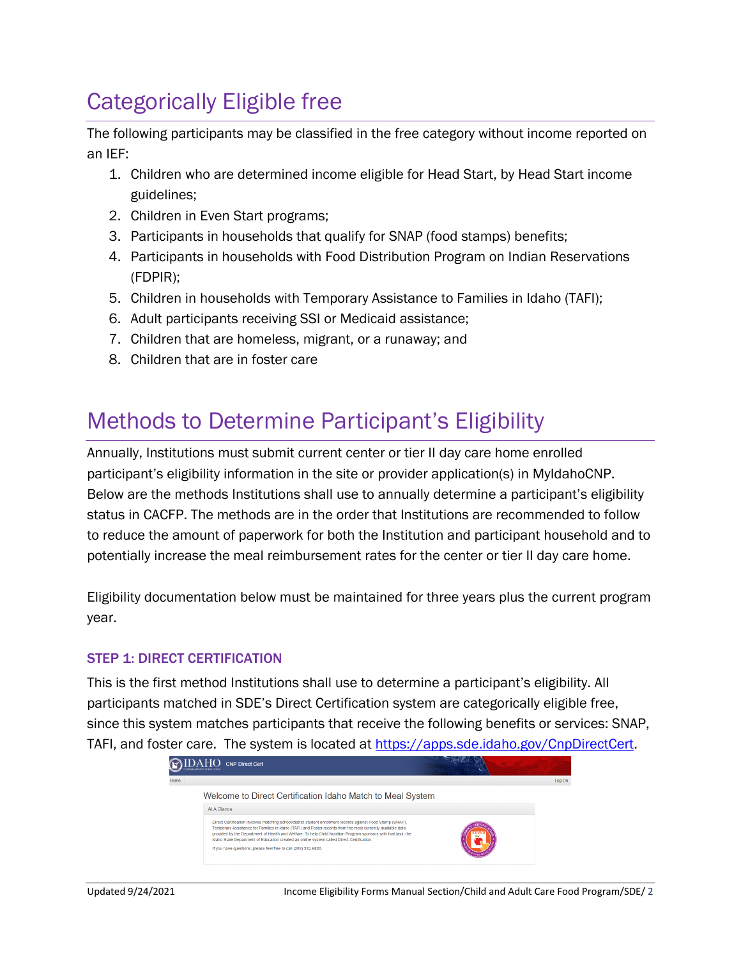# <span id="page-1-0"></span>Categorically Eligible free

The following participants may be classified in the free category without income reported on an IEF:

- 1. Children who are determined income eligible for Head Start, by Head Start income guidelines;
- 2. Children in Even Start programs;
- 3. Participants in households that qualify for SNAP (food stamps) benefits;
- 4. Participants in households with Food Distribution Program on Indian Reservations (FDPIR);
- 5. Children in households with Temporary Assistance to Families in Idaho (TAFI);
- 6. Adult participants receiving SSI or Medicaid assistance;
- 7. Children that are homeless, migrant, or a runaway; and
- 8. Children that are in foster care

## <span id="page-1-1"></span>Methods to Determine Participant's Eligibility

Annually, Institutions must submit current center or tier II day care home enrolled participant's eligibility information in the site or provider application(s) in MyIdahoCNP. Below are the methods Institutions shall use to annually determine a participant's eligibility status in CACFP. The methods are in the order that Institutions are recommended to follow to reduce the amount of paperwork for both the Institution and participant household and to potentially increase the meal reimbursement rates for the center or tier II day care home.

Eligibility documentation below must be maintained for three years plus the current program year.

#### **STEP 1: DIRECT CERTIFICATION**

This is the first method Institutions shall use to determine a participant's eligibility. All participants matched in SDE's Direct Certification system are categorically eligible free, since this system matches participants that receive the following benefits or services: SNAP, TAFI, and foster care. The system is located at [https://apps.sde.idaho.gov/CnpDirectCert.](https://apps.sde.idaho.gov/CnpDirectCert)

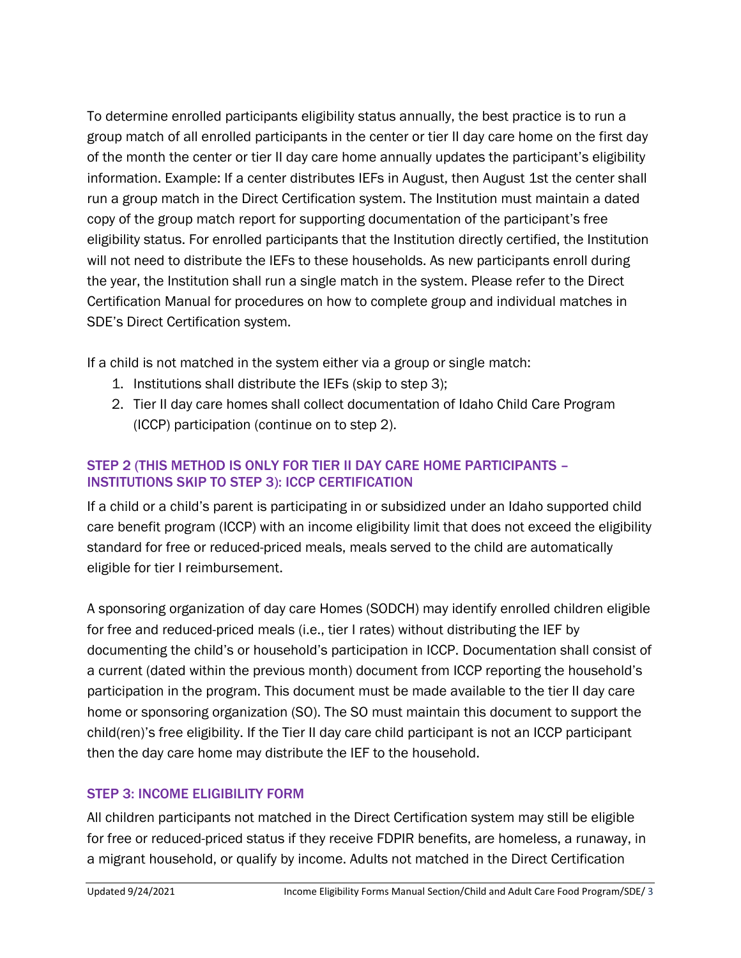To determine enrolled participants eligibility status annually, the best practice is to run a group match of all enrolled participants in the center or tier II day care home on the first day of the month the center or tier II day care home annually updates the participant's eligibility information. Example: If a center distributes IEFs in August, then August 1st the center shall run a group match in the Direct Certification system. The Institution must maintain a dated copy of the group match report for supporting documentation of the participant's free eligibility status. For enrolled participants that the Institution directly certified, the Institution will not need to distribute the IEFs to these households. As new participants enroll during the year, the Institution shall run a single match in the system. Please refer to the Direct Certification Manual for procedures on how to complete group and individual matches in SDE's Direct Certification system.

If a child is not matched in the system either via a group or single match:

- 1. Institutions shall distribute the IEFs (skip to step 3);
- 2. Tier II day care homes shall collect documentation of Idaho Child Care Program (ICCP) participation (continue on to step 2).

### STEP 2 (THIS METHOD IS ONLY FOR TIER II DAY CARE HOME PARTICIPANTS – INSTITUTIONS SKIP TO STEP 3): ICCP CERTIFICATION

If a child or a child's parent is participating in or subsidized under an Idaho supported child care benefit program (ICCP) with an income eligibility limit that does not exceed the eligibility standard for free or reduced-priced meals, meals served to the child are automatically eligible for tier I reimbursement.

A sponsoring organization of day care Homes (SODCH) may identify enrolled children eligible for free and reduced-priced meals (i.e., tier I rates) without distributing the IEF by documenting the child's or household's participation in ICCP. Documentation shall consist of a current (dated within the previous month) document from ICCP reporting the household's participation in the program. This document must be made available to the tier II day care home or sponsoring organization (SO). The SO must maintain this document to support the child(ren)'s free eligibility. If the Tier II day care child participant is not an ICCP participant then the day care home may distribute the IEF to the household.

#### STEP 3: INCOME ELIGIBILITY FORM

All children participants not matched in the Direct Certification system may still be eligible for free or reduced-priced status if they receive FDPIR benefits, are homeless, a runaway, in a migrant household, or qualify by income. Adults not matched in the Direct Certification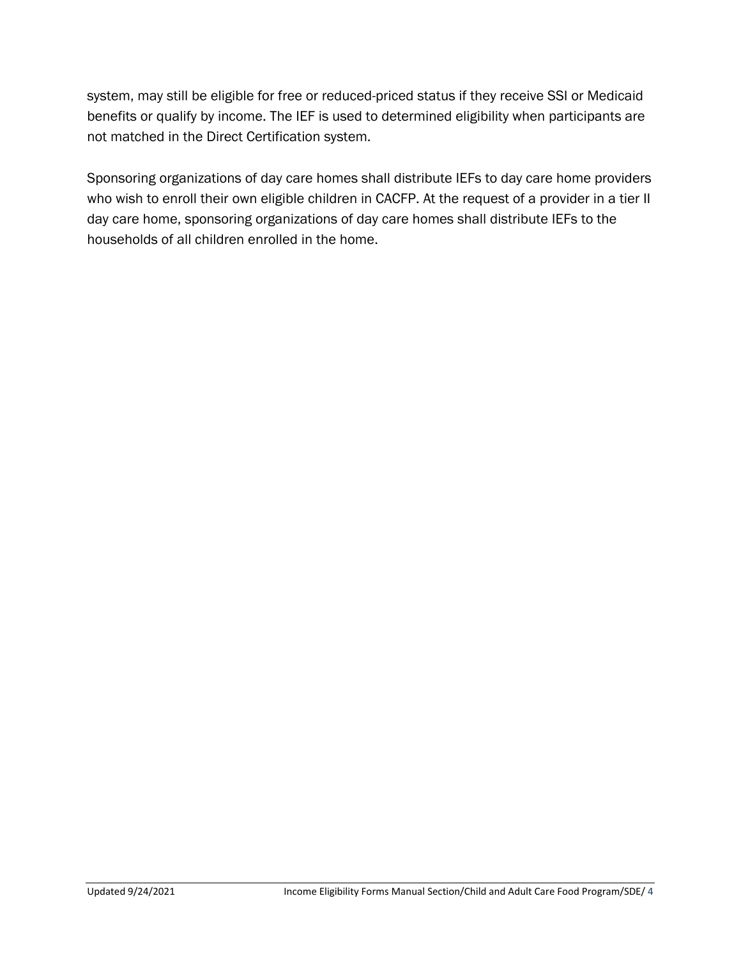system, may still be eligible for free or reduced-priced status if they receive SSI or Medicaid benefits or qualify by income. The IEF is used to determined eligibility when participants are not matched in the Direct Certification system.

Sponsoring organizations of day care homes shall distribute IEFs to day care home providers who wish to enroll their own eligible children in CACFP. At the request of a provider in a tier II day care home, sponsoring organizations of day care homes shall distribute IEFs to the households of all children enrolled in the home.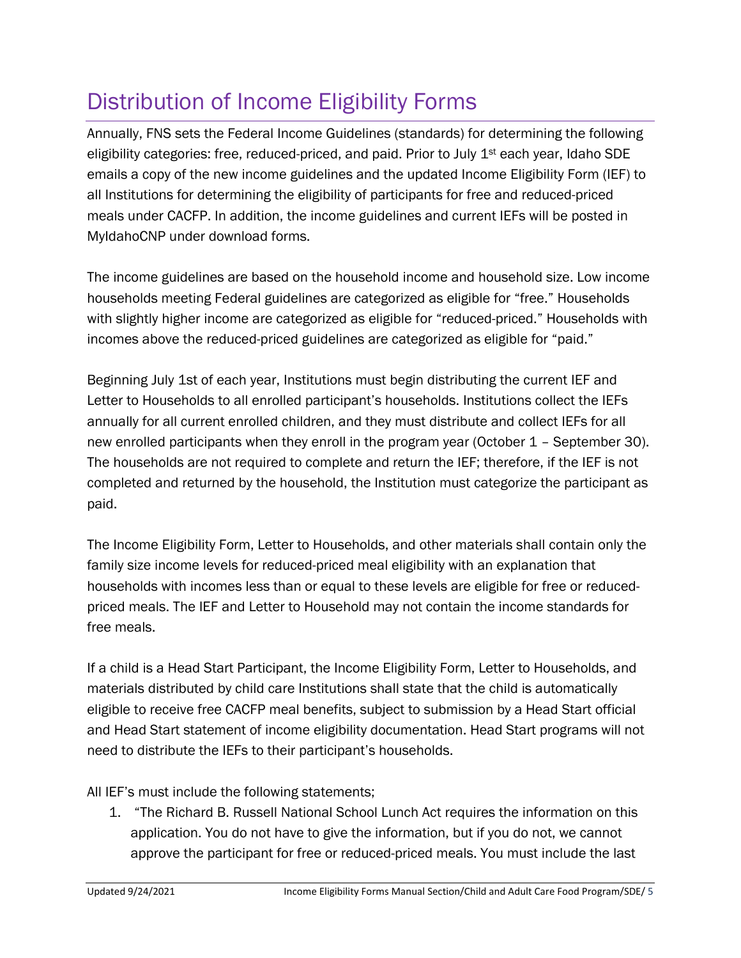# <span id="page-4-0"></span>Distribution of Income Eligibility Forms

Annually, FNS sets the Federal Income Guidelines (standards) for determining the following eligibility categories: free, reduced-priced, and paid. Prior to July  $1<sup>st</sup>$  each year, Idaho SDE emails a copy of the new income guidelines and the updated Income Eligibility Form (IEF) to all Institutions for determining the eligibility of participants for free and reduced-priced meals under CACFP. In addition, the income guidelines and current IEFs will be posted in MyIdahoCNP under download forms.

The income guidelines are based on the household income and household size. Low income households meeting Federal guidelines are categorized as eligible for "free." Households with slightly higher income are categorized as eligible for "reduced-priced." Households with incomes above the reduced-priced guidelines are categorized as eligible for "paid."

Beginning July 1st of each year, Institutions must begin distributing the current IEF and Letter to Households to all enrolled participant's households. Institutions collect the IEFs annually for all current enrolled children, and they must distribute and collect IEFs for all new enrolled participants when they enroll in the program year (October 1 – September 30). The households are not required to complete and return the IEF; therefore, if the IEF is not completed and returned by the household, the Institution must categorize the participant as paid.

The Income Eligibility Form, Letter to Households, and other materials shall contain only the family size income levels for reduced-priced meal eligibility with an explanation that households with incomes less than or equal to these levels are eligible for free or reducedpriced meals. The IEF and Letter to Household may not contain the income standards for free meals.

If a child is a Head Start Participant, the Income Eligibility Form, Letter to Households, and materials distributed by child care Institutions shall state that the child is automatically eligible to receive free CACFP meal benefits, subject to submission by a Head Start official and Head Start statement of income eligibility documentation. Head Start programs will not need to distribute the IEFs to their participant's households.

All IEF's must include the following statements;

1. "The Richard B. Russell National School Lunch Act requires the information on this application. You do not have to give the information, but if you do not, we cannot approve the participant for free or reduced-priced meals. You must include the last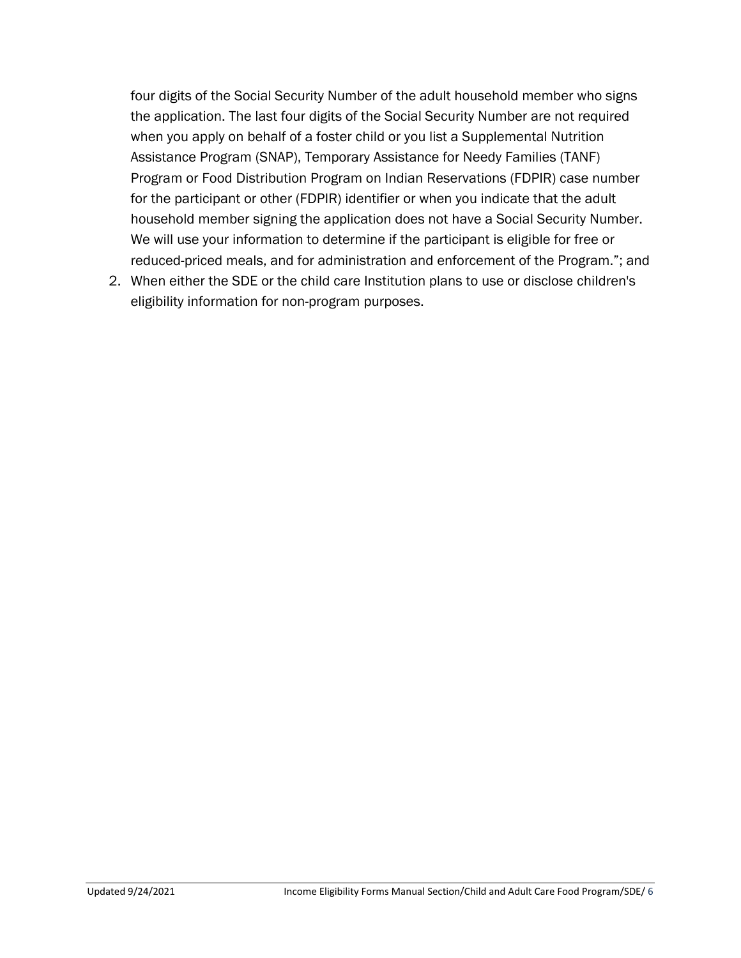four digits of the Social Security Number of the adult household member who signs the application. The last four digits of the Social Security Number are not required when you apply on behalf of a foster child or you list a Supplemental Nutrition Assistance Program (SNAP), Temporary Assistance for Needy Families (TANF) Program or Food Distribution Program on Indian Reservations (FDPIR) case number for the participant or other (FDPIR) identifier or when you indicate that the adult household member signing the application does not have a Social Security Number. We will use your information to determine if the participant is eligible for free or reduced-priced meals, and for administration and enforcement of the Program."; and

2. When either the SDE or the child care Institution plans to use or disclose children's eligibility information for non-program purposes.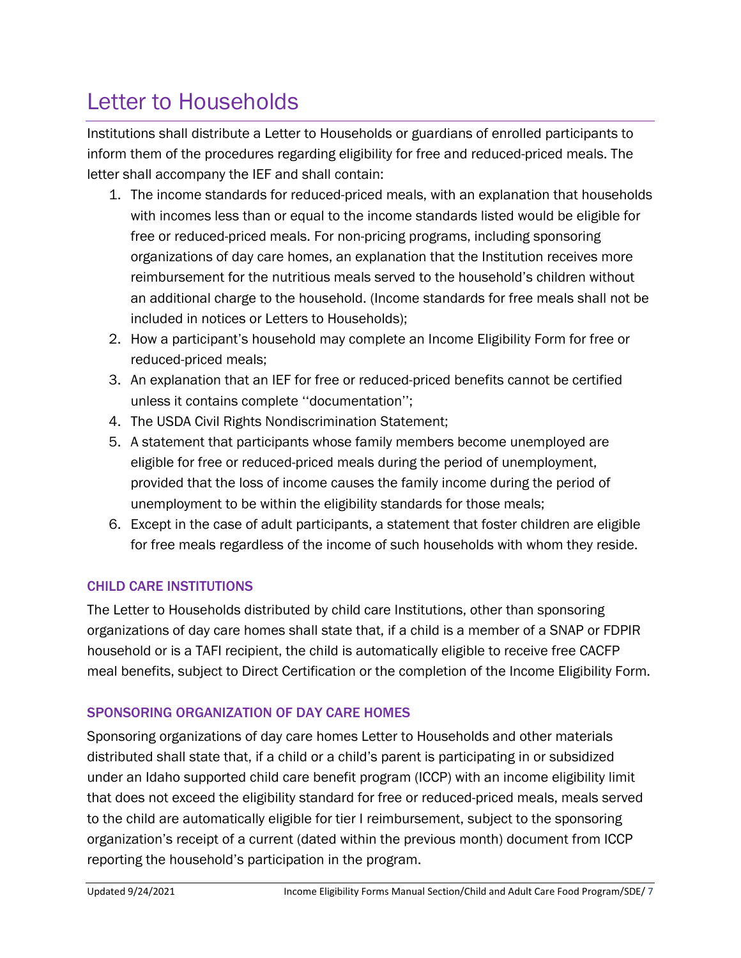# <span id="page-6-0"></span>Letter to Households

Institutions shall distribute a Letter to Households or guardians of enrolled participants to inform them of the procedures regarding eligibility for free and reduced-priced meals. The letter shall accompany the IEF and shall contain:

- 1. The income standards for reduced-priced meals, with an explanation that households with incomes less than or equal to the income standards listed would be eligible for free or reduced-priced meals. For non-pricing programs, including sponsoring organizations of day care homes, an explanation that the Institution receives more reimbursement for the nutritious meals served to the household's children without an additional charge to the household. (Income standards for free meals shall not be included in notices or Letters to Households);
- 2. How a participant's household may complete an Income Eligibility Form for free or reduced-priced meals;
- 3. An explanation that an IEF for free or reduced-priced benefits cannot be certified unless it contains complete ''documentation'';
- 4. The USDA Civil Rights Nondiscrimination Statement;
- 5. A statement that participants whose family members become unemployed are eligible for free or reduced-priced meals during the period of unemployment, provided that the loss of income causes the family income during the period of unemployment to be within the eligibility standards for those meals;
- 6. Except in the case of adult participants, a statement that foster children are eligible for free meals regardless of the income of such households with whom they reside.

### CHILD CARE INSTITUTIONS

The Letter to Households distributed by child care Institutions, other than sponsoring organizations of day care homes shall state that, if a child is a member of a SNAP or FDPIR household or is a TAFI recipient, the child is automatically eligible to receive free CACFP meal benefits, subject to Direct Certification or the completion of the Income Eligibility Form.

### SPONSORING ORGANIZATION OF DAY CARE HOMES

Sponsoring organizations of day care homes Letter to Households and other materials distributed shall state that, if a child or a child's parent is participating in or subsidized under an Idaho supported child care benefit program (ICCP) with an income eligibility limit that does not exceed the eligibility standard for free or reduced-priced meals, meals served to the child are automatically eligible for tier I reimbursement, subject to the sponsoring organization's receipt of a current (dated within the previous month) document from ICCP reporting the household's participation in the program.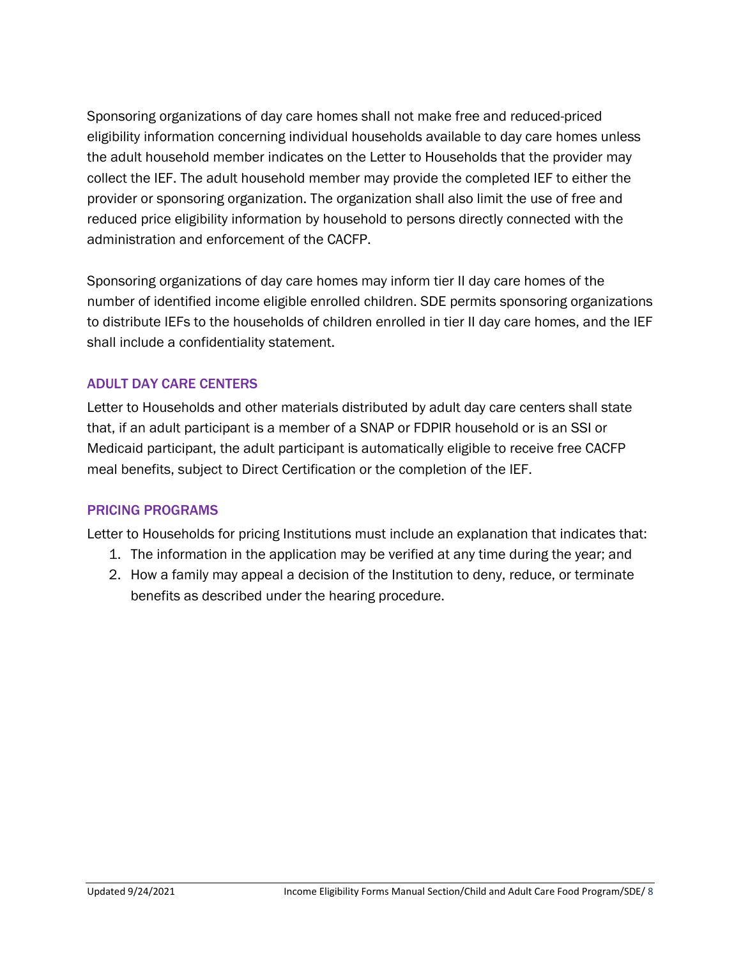Sponsoring organizations of day care homes shall not make free and reduced-priced eligibility information concerning individual households available to day care homes unless the adult household member indicates on the Letter to Households that the provider may collect the IEF. The adult household member may provide the completed IEF to either the provider or sponsoring organization. The organization shall also limit the use of free and reduced price eligibility information by household to persons directly connected with the administration and enforcement of the CACFP.

Sponsoring organizations of day care homes may inform tier II day care homes of the number of identified income eligible enrolled children. SDE permits sponsoring organizations to distribute IEFs to the households of children enrolled in tier II day care homes, and the IEF shall include a confidentiality statement.

#### ADULT DAY CARE CENTERS

Letter to Households and other materials distributed by adult day care centers shall state that, if an adult participant is a member of a SNAP or FDPIR household or is an SSI or Medicaid participant, the adult participant is automatically eligible to receive free CACFP meal benefits, subject to Direct Certification or the completion of the IEF.

#### PRICING PROGRAMS

Letter to Households for pricing Institutions must include an explanation that indicates that:

- 1. The information in the application may be verified at any time during the year; and
- 2. How a family may appeal a decision of the Institution to deny, reduce, or terminate benefits as described under the hearing procedure.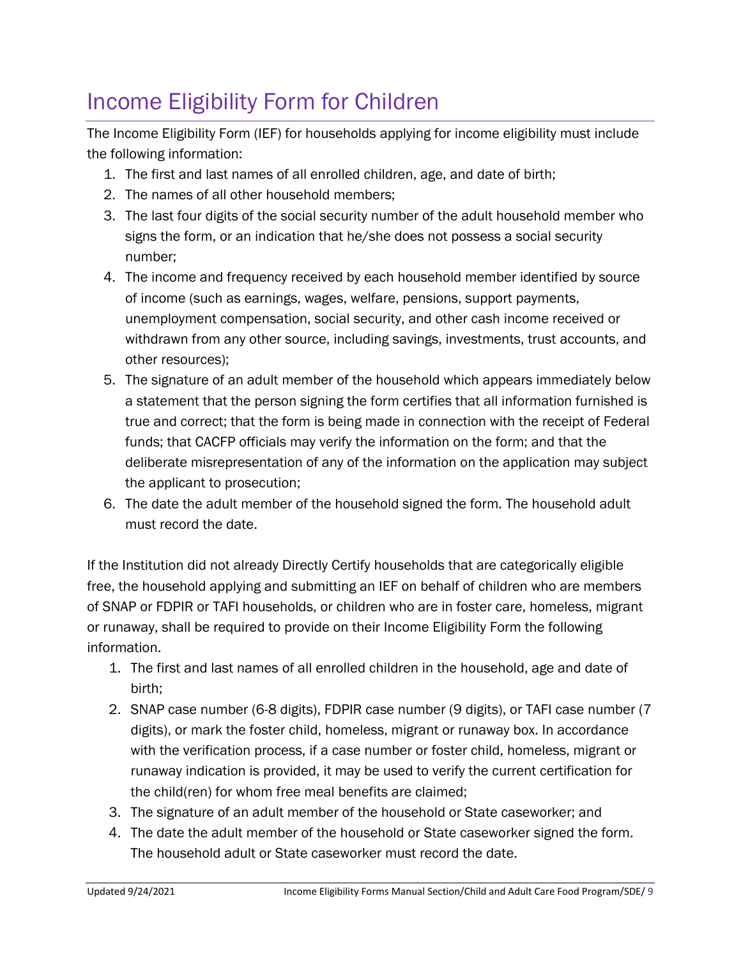# <span id="page-8-0"></span>Income Eligibility Form for Children

The Income Eligibility Form (IEF) for households applying for income eligibility must include the following information:

- 1. The first and last names of all enrolled children, age, and date of birth;
- 2. The names of all other household members;
- 3. The last four digits of the social security number of the adult household member who signs the form, or an indication that he/she does not possess a social security number;
- 4. The income and frequency received by each household member identified by source of income (such as earnings, wages, welfare, pensions, support payments, unemployment compensation, social security, and other cash income received or withdrawn from any other source, including savings, investments, trust accounts, and other resources);
- 5. The signature of an adult member of the household which appears immediately below a statement that the person signing the form certifies that all information furnished is true and correct; that the form is being made in connection with the receipt of Federal funds; that CACFP officials may verify the information on the form; and that the deliberate misrepresentation of any of the information on the application may subject the applicant to prosecution;
- 6. The date the adult member of the household signed the form. The household adult must record the date.

If the Institution did not already Directly Certify households that are categorically eligible free, the household applying and submitting an IEF on behalf of children who are members of SNAP or FDPIR or TAFI households, or children who are in foster care, homeless, migrant or runaway, shall be required to provide on their Income Eligibility Form the following information.

- 1. The first and last names of all enrolled children in the household, age and date of birth;
- 2. SNAP case number (6-8 digits), FDPIR case number (9 digits), or TAFI case number (7 digits), or mark the foster child, homeless, migrant or runaway box. In accordance with the verification process, if a case number or foster child, homeless, migrant or runaway indication is provided, it may be used to verify the current certification for the child(ren) for whom free meal benefits are claimed;
- 3. The signature of an adult member of the household or State caseworker; and
- 4. The date the adult member of the household or State caseworker signed the form. The household adult or State caseworker must record the date.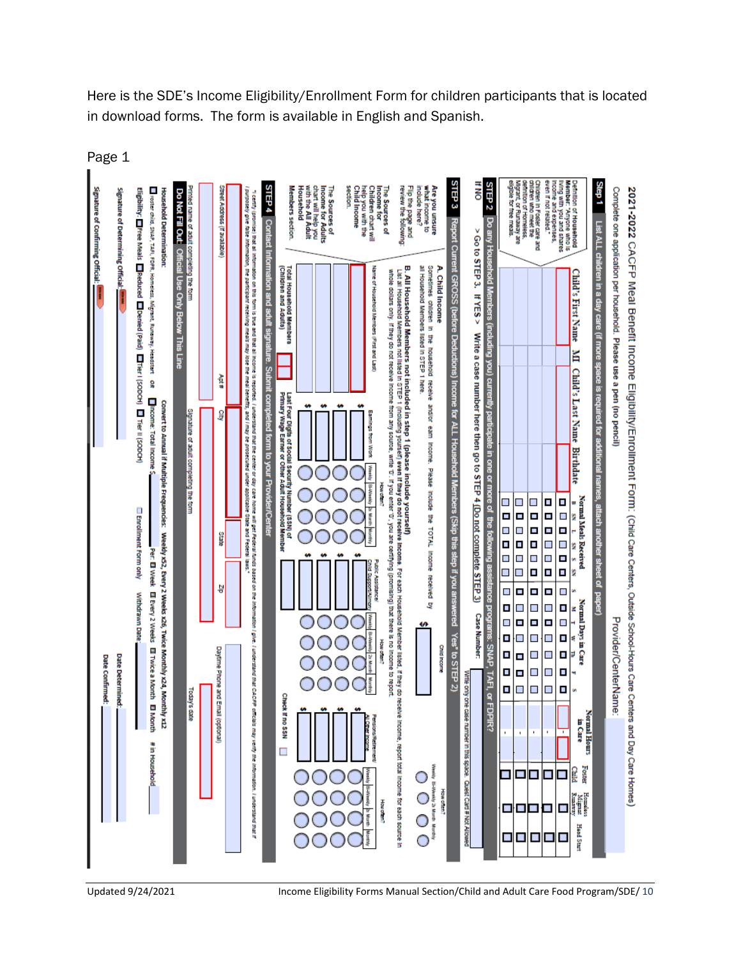The Sources of<br>Income for Adults<br>chart will help you<br>with the All Adult Children chart will<br>help you with the<br>Child Income **HNO** STEP 2 STEP 3 Are you unsure<br>what income to<br>include here? STEP 4 Contact Info Flip the page and<br>review the following Step 1 List ALL children in a day care (if more space is required for additi Do Not Fill Out: Official Use Only Below This Line Complete one application per household. Please use a pen (no pencil) 2021-2022 CACFP Meal Benefit Income Eligibility/Enrollment Form: (child Care Centers, Outside School-Hours Care Centers and Day Care Homes) voster child, SNAP, TAFI, FDPR, Homeless, Migrant, Runaway, Headstart Household The Sources of<br>Income for grant, or Runaway are<br>gloie for free meals. Signature of Confirming Official Eligibility: ElFree Meals ElReduced ElDenied (Paid) ElFier I (SODCH) El Tier II (SODCH) Street Address (If available Members section. **Scoon** Signature of Determining Official **Household Determination:** inition of Household \<br>mber: "Anyone who is<br>ng with you and shares<br>ome and expenses, Jien In Foster care and<br>Iten who meet the nted name of adult completing the form i certify (promise) that all information on this form is thue and that all income is reported.<br>urposely give faise information, the participant receiving meals may lose the meal benefied. n of Homeless Do any Hou Report Cu > Go to STEP 3. If YES > Write a case number here then go to STEP 4 (Do not complete STEP 3) ent GROSS (before Dedu mation and adult signa B. All Household Members not included in step 1 (please include yourself)<br>List al Household Members not listed in STEP 1 (Including yoursel) even the promission of the step of the stat<br>whole dollars ony. If they do not rec Total Household Members<br>(Children and Adults) Name of Household Members (First and Last Sometimes children in the household receive and/or A. Child Income Child's First Name Household Members listed in STEP 1 here Chock Burphpo MI Child's Last Name Birthdate ure. Submit compli **Nons** Apt # å Income for ALL Hou Last Four Digits of Social Security Number (\$SM) of<br>Primary Wage Earner or Other Adult Household Member **Thcome: Total Income** Convert to Annual if Multiple Frequencies: Weekly x52, Every 2 Weeks x26, Twice Monthly x24, Monthly x12 i understand that the center or day care home will get Federal funds based on the information<br>Its, and i may be prosecuted under applicable State and Federal Taws." Signature of adult completing the form g eted form to your Provider/Center eam Income.  $\frac{1}{2}$ Please Include the TOTAL Income o Monte Normal Meals Received<br>B SN L SN S S  $\blacksquare$  $\Box$  $\blacksquare$ T, Π re of the fol attach another **Enrollment Form only** o o<br>D c  $\blacksquare$  $\Box$ (Skip this G<br>O b |o o State  $\blacksquare$  $\Box$ c  $\blacksquare$ Per: El Week  $\overline{\phantom{a}}$ Н step it you answ  $\overline{\phantom{a}}$  $\blacksquare$ Ē, **CONSUMPTER** П  $\blacksquare$  $\blacksquare$ n, D, š received by å 틯  $\overline{\phantom{a}}$ E  $\blacksquare$  $\blacksquare$  $\blacksquare$ El Every 2 Weeks El Twice a Month El Month Withdrawn Date Normal Days in Care<br> $\frac{M}{M}$   $\frac{1}{T}$   $\frac{W}{M}$ Ľ  $\blacksquare$  $\overline{\phantom{a}}$  $\overline{\phantom{a}}$  $\overline{\phantom{a}}$ wered **Case Number:**  $\Box$  $\overline{\phantom{a}}$ o È. Ξ Provider/CenterName ė٩ ò Yes' to STEP 2)  $\overline{\phantom{a}}$ pive. I understand that CACFP officials may verify the Information. E  $\overline{\phantom{a}}$  $\overline{\phantom{a}}$ How otteri? SNAP, TAFI, or FDPIR? **Child Income** Daytime Phone and Email (optional) Ľ,  $\blacksquare$  $\overline{\phantom{a}}$  $\mathcal{L}_{\mathcal{A}}$  $\overline{\phantom{a}}$ **Date Confirmed: Date Determined** Ľ O  $\overline{\phantom{a}}$  $\overline{\phantom{a}}$ Ľ Write only one case number in this space. Quest Card # Not Allowed  $\blacksquare$  $\blacksquare$  $\overline{\phantom{a}}$  $\blacksquare$  $\blacksquare$ Today's date Check If no \$\$N Normal Hours<br>in Care # in Household  $\Box$ Foster Ē **B 8 8 8 8** О O O **How often?** Homolors<br>Migrant<br>Runaway I understand that if **How often?** 8 8 8 8  $\overline{\phantom{a}}$ Ο Hoad Start Ì П  $\blacksquare$  $\blacksquare$  $\blacksquare$  $\blacksquare$ О

Here is the SDE's Income Eligibility/Enrollment Form for children participants that is located in download forms. The form is available in English and Spanish.

Page 1

Updated 9/24/2021 Income Eligibility Forms Manual Section/Child and Adult Care Food Program/SDE/ 10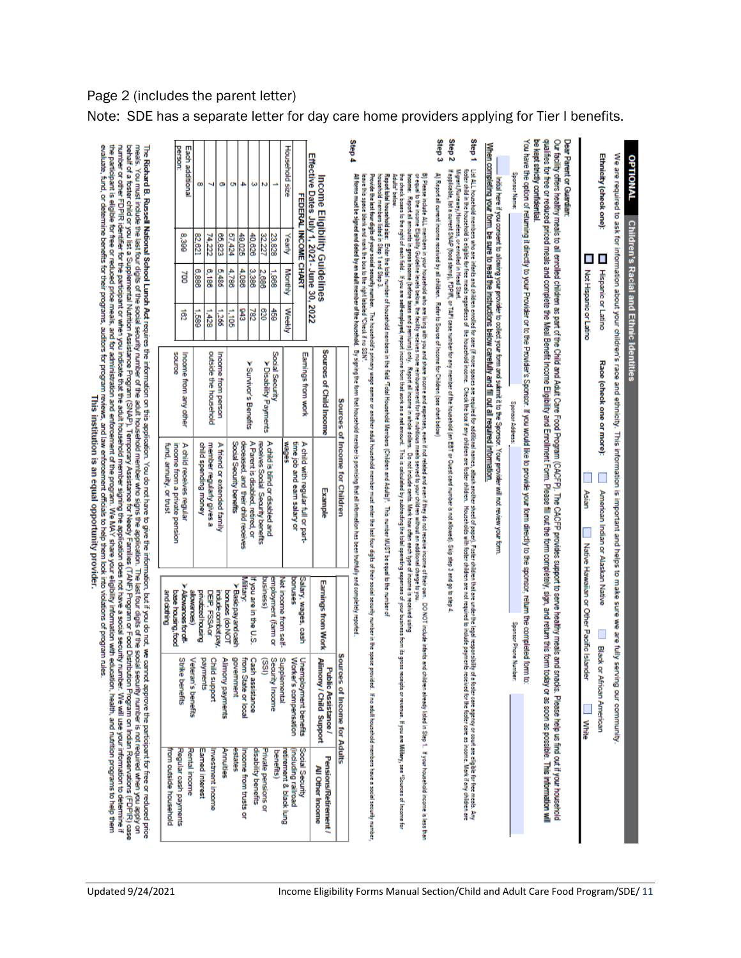| We are required to ask for information about your children's race and ethnicity. This information is important and helps to make sure we are fully serving our community.                                                                                                                                                                                                                                                                                                                 |                           |                                                                            |                                              |                                                              |                                                                          |
|-------------------------------------------------------------------------------------------------------------------------------------------------------------------------------------------------------------------------------------------------------------------------------------------------------------------------------------------------------------------------------------------------------------------------------------------------------------------------------------------|---------------------------|----------------------------------------------------------------------------|----------------------------------------------|--------------------------------------------------------------|--------------------------------------------------------------------------|
| Ethnicity (check one):<br>$\blacksquare$<br>L<br>Not Hispanic or Latino<br><b>Hispanic or Latino</b>                                                                                                                                                                                                                                                                                                                                                                                      | Race (check one or more): | American Indian or Alaskan Native                                          | Native Hassailan or Other Pacific Islands    | <b>Black or</b><br>African American                          |                                                                          |
|                                                                                                                                                                                                                                                                                                                                                                                                                                                                                           |                           | Asian                                                                      |                                              | щ<br>White                                                   |                                                                          |
| be kept strictly confidential<br>qualifies for free or reduced meals and complete the liberatic income Eigibility and Ernollment Form. Please ill out the form completely, sign, and return this form today or as soon as possible. This information will<br>Our facility offers healthy meals to all emplied children as part of the Child and Adult Care Food Program (CACFP). The CACCFP provides support to serve healthy meals and<br>Dear Parent or Guardian:                       |                           |                                                                            |                                              | snacks. Please help us find out if your household            |                                                                          |
| You have the option of returning it directly to your Provider or to the Provider's Sponsor. If you would like to provide your form directly to the sponsor, return the completed form to:<br>Sponsor Name:                                                                                                                                                                                                                                                                                | Sponsor Address           |                                                                            | Sponsor Phone Numb                           | Ŗ                                                            |                                                                          |
| Initial here if you consent to allowing your provider to collect your form and submit it to the Sponsor. Your provider will not review your form                                                                                                                                                                                                                                                                                                                                          |                           |                                                                            |                                              |                                                              |                                                                          |
| When completing your form, be sure to read the instructions below carefully and fill out all required information.                                                                                                                                                                                                                                                                                                                                                                        |                           |                                                                            |                                              |                                                              |                                                                          |
| Step <sub>1</sub><br>List ALL household are informed and we have the core of more series are a second and the second and the comparing the second are a second and the second and the second and the fight in the second and all the fight we make<br>bater child in house believe mead regarded of the household noone. Check the boot in the bater of bater of being incluse to the basic incluse the incluse payments received for the foods payments incluse payments incluse th      |                           |                                                                            |                                              |                                                              |                                                                          |
| Step <sub>2</sub><br>if sppicalel, ist s current SNAP (food stamp), FDPIR, or TAFI case number for empirement in EBT or Quest card number is not allowed). Skip step 3 and go to step 4<br>Wigrant Runaway, Homeless, or enrolled in Head Start                                                                                                                                                                                                                                           |                           |                                                                            |                                              |                                                              |                                                                          |
| Step 3<br>A) Report all current income received by all children. Refer to Source of Income for Children (see chart below)                                                                                                                                                                                                                                                                                                                                                                 |                           |                                                                            |                                              |                                                              |                                                                          |
| or equal to the income Eligibility Guideline levels below, the foolity receives more reinformed for the nutritious meals sensed to your children without an additional charge to you.<br>B) Please industed in your household also are ining attitude and the process, even if not related and even if they do not receive income of their own. DO NOT include infinits<br>hoome: Report al amounts in gross income (before lawes and premiums) only. Report all income in whole dollars. |                           | Do not include cents. Mark how often each type of income is received using |                                              | å,                                                           | children already listed in Step 1. If your household income is less than |
| he properation of the state of the state of the state of the state of the state of the state of the state of the state of the state of the state of the state of the state of the state of the state of the state of the stat<br>the check boxer bight of each feilig again and how will be a collect by a collect of a collect the collect by a collect the collect of the collect of the collect of the collect of a collect of the collect of a collect of t<br>Adults' below          |                           |                                                                            |                                              |                                                              |                                                                          |
| Step 4<br>Prode the half of your sold searly munke. The household symbol wanter additionally the collect and additionally multimate interval than a sold security and the space of the sold security in the space space of the sold secu<br>Al forms must be and deted by an addimember of the household. By signing the form that his chousehold member is promising that all information has been futfifully and completely reported<br>ease shank and is been to SSN.                  |                           |                                                                            |                                              |                                                              |                                                                          |
|                                                                                                                                                                                                                                                                                                                                                                                                                                                                                           |                           | Sources of Income for Children                                             |                                              | Sources of Income for Adults                                 |                                                                          |
| Income Eligibility Guidelines                                                                                                                                                                                                                                                                                                                                                                                                                                                             | Sources of Child Income   | <b>Example</b>                                                             | <b>Earnings from Work</b>                    | <b>Alimony / Child Support</b><br><b>Public Assistance /</b> | Pensions/Retirement /<br>All Other Income                                |
| Effective Dates July 1, 2021 - June 30,<br>FEDERAL INCOME CHART<br>2022                                                                                                                                                                                                                                                                                                                                                                                                                   | Eamings from work         | time job and earn salary or<br>A child with regular full or part           | Salary, wages,<br>Sash                       | Unemployment benefits                                        | Social Security                                                          |
| Household size<br>Yearly<br>Monthly<br>Weekly                                                                                                                                                                                                                                                                                                                                                                                                                                             |                           | <b>Reges</b>                                                               | <b>Seshuoc</b>                               | Worker's compensation                                        | (including railroad<br>retirement & black lung                           |
| 23,828<br>1,988<br>ĝ                                                                                                                                                                                                                                                                                                                                                                                                                                                                      | Social Security           |                                                                            | employment (farm or<br>Vet income from self- | Seaurity Income<br>Supplemental                              | <b>benefits</b> )                                                        |
| N<br>32.227<br>2,686<br>8                                                                                                                                                                                                                                                                                                                                                                                                                                                                 | > Disability Payments     | A child is blind or disabled and<br>receives Social Security benefits      | <b>NSINESS</b>                               | (issi)                                                       | nvate pensions or                                                        |
| ω<br>40,626<br>3,386<br>782                                                                                                                                                                                                                                                                                                                                                                                                                                                               | > Survivor's Benefits     | A Parent is disabled, retired, or                                          | f you are in the U.S.                        | Cash assistance                                              | disability benefits                                                      |
| 4<br>49,025<br>4,086<br>8                                                                                                                                                                                                                                                                                                                                                                                                                                                                 |                           | deoesed, and their child receives                                          | Military:                                    | from State or local                                          | noome from trusts or                                                     |
| o<br>57,424<br>4,786<br>1,105                                                                                                                                                                                                                                                                                                                                                                                                                                                             |                           | Social Security benefits                                                   | > Basic pay and cash<br>bonses (do NOT       | government                                                   | <b>Seites</b>                                                            |
| o<br>65,823<br>5,486<br>1,266                                                                                                                                                                                                                                                                                                                                                                                                                                                             | Income from person        | A friend or extended family                                                | indude combat pay                            | Alimony payments                                             | <b><i><u>Annuities</u></i></b>                                           |
| ⊣<br>74,222<br>6,186<br>1,428                                                                                                                                                                                                                                                                                                                                                                                                                                                             | outside the household     | member regularly gives a                                                   | DEP, FSSAor                                  | Child support                                                | nvestment income                                                         |
| œ<br>82,621<br>8,886<br>6891                                                                                                                                                                                                                                                                                                                                                                                                                                                              |                           | child spending money                                                       | alowances)<br>privatized housing             | payments<br>Veteran's benefits                               | Famed interest                                                           |
| <b>Derson:</b><br>Each additional<br>œ<br>386<br>à<br>ខ្លី                                                                                                                                                                                                                                                                                                                                                                                                                                | Income from any other     | A child receives regular                                                   | Alowances for off                            | Strike benefits                                              | Regular cash payments<br>Rental income                                   |
|                                                                                                                                                                                                                                                                                                                                                                                                                                                                                           | Bounce                    | income from a private pension<br>fund, annuity, or trust                   | base housing, food<br>andebthing             |                                                              | from outside household                                                   |
| meals. You must include the last four digits of the social security number of he adult household member who signs the application. The last four digits of the social security number is not required when you apply on<br>The Richard B. Russell National School Lunch Act requires the information on this application. You do not have to give the information, but if you do not, we cannot approve the participant for free or reduced price                                         |                           |                                                                            |                                              |                                                              |                                                                          |
| number or other FDPIR identifier for the participant or when you indicate that the addit household meapplication does not have a social security number. We will use your information to determine if<br>behalf of a basier child or you ist a Supplemental Nutrilion Assistance Program (S.P. F. Program of Formines (TANF) Program or Food Distribution Program on Indian Reservations (FDPIR) case                                                                                     |                           |                                                                            |                                              |                                                              |                                                                          |

the participant is eligible for free or reduced price meals, and for administration and expression. We MAY share your eligiblity information with education<br>evaluate, fund, or determine benefits for their programs, audions icipant for free or reduced price<br>is the Reservations (FDPIR) case<br>isn Reservations (FDPIR) case<br>ur information to determine if<br>afrition programs to help them

### Page 2 (includes the parent letter) Note: SDE has a separate letter for day care home providers applying for Tier I benefits.

**Children's Racial and Ethnic Identities**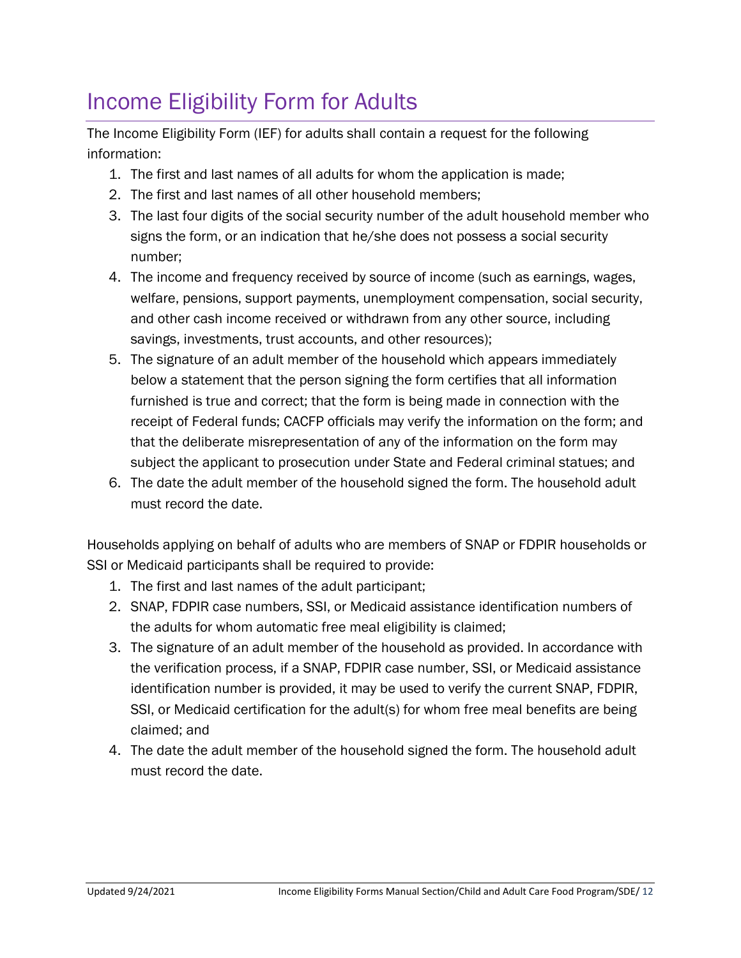# <span id="page-11-0"></span>Income Eligibility Form for Adults

The Income Eligibility Form (IEF) for adults shall contain a request for the following information:

- 1. The first and last names of all adults for whom the application is made;
- 2. The first and last names of all other household members;
- 3. The last four digits of the social security number of the adult household member who signs the form, or an indication that he/she does not possess a social security number;
- 4. The income and frequency received by source of income (such as earnings, wages, welfare, pensions, support payments, unemployment compensation, social security, and other cash income received or withdrawn from any other source, including savings, investments, trust accounts, and other resources);
- 5. The signature of an adult member of the household which appears immediately below a statement that the person signing the form certifies that all information furnished is true and correct; that the form is being made in connection with the receipt of Federal funds; CACFP officials may verify the information on the form; and that the deliberate misrepresentation of any of the information on the form may subject the applicant to prosecution under State and Federal criminal statues; and
- 6. The date the adult member of the household signed the form. The household adult must record the date.

Households applying on behalf of adults who are members of SNAP or FDPIR households or SSI or Medicaid participants shall be required to provide:

- 1. The first and last names of the adult participant;
- 2. SNAP, FDPIR case numbers, SSI, or Medicaid assistance identification numbers of the adults for whom automatic free meal eligibility is claimed;
- 3. The signature of an adult member of the household as provided. In accordance with the verification process, if a SNAP, FDPIR case number, SSI, or Medicaid assistance identification number is provided, it may be used to verify the current SNAP, FDPIR, SSI, or Medicaid certification for the adult(s) for whom free meal benefits are being claimed; and
- 4. The date the adult member of the household signed the form. The household adult must record the date.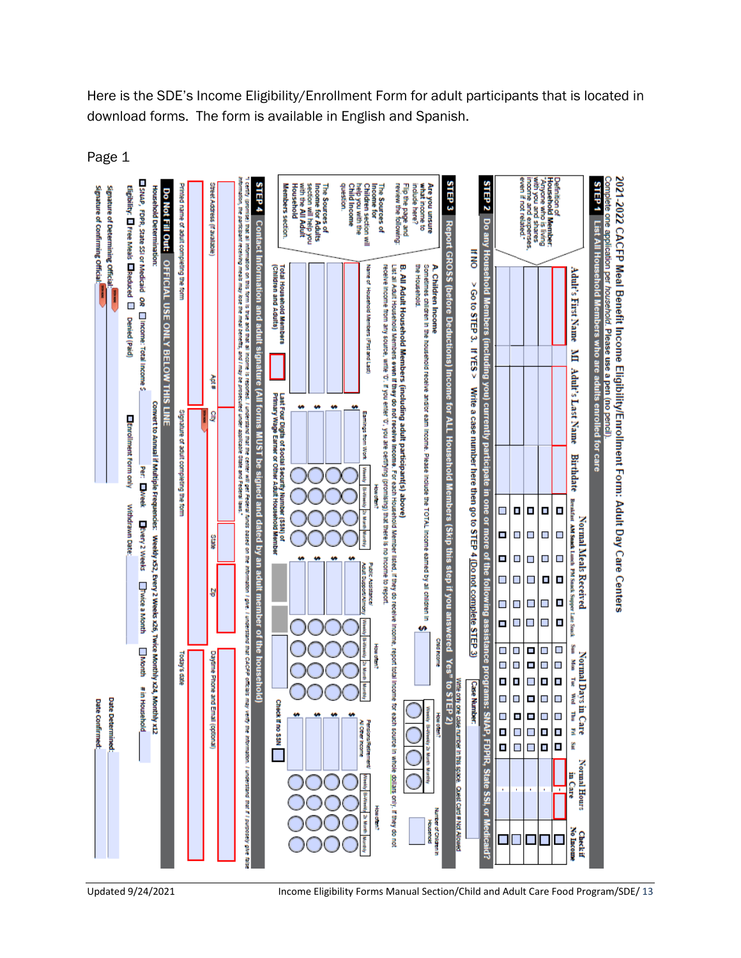Here is the SDE's Income Eligibility/Enrollment Form for adult participants that is located in download forms. The form is available in English and Spanish.

Page 1



Updated 9/24/2021 Income Eligibility Forms Manual Section/Child and Adult Care Food Program/SDE/ 13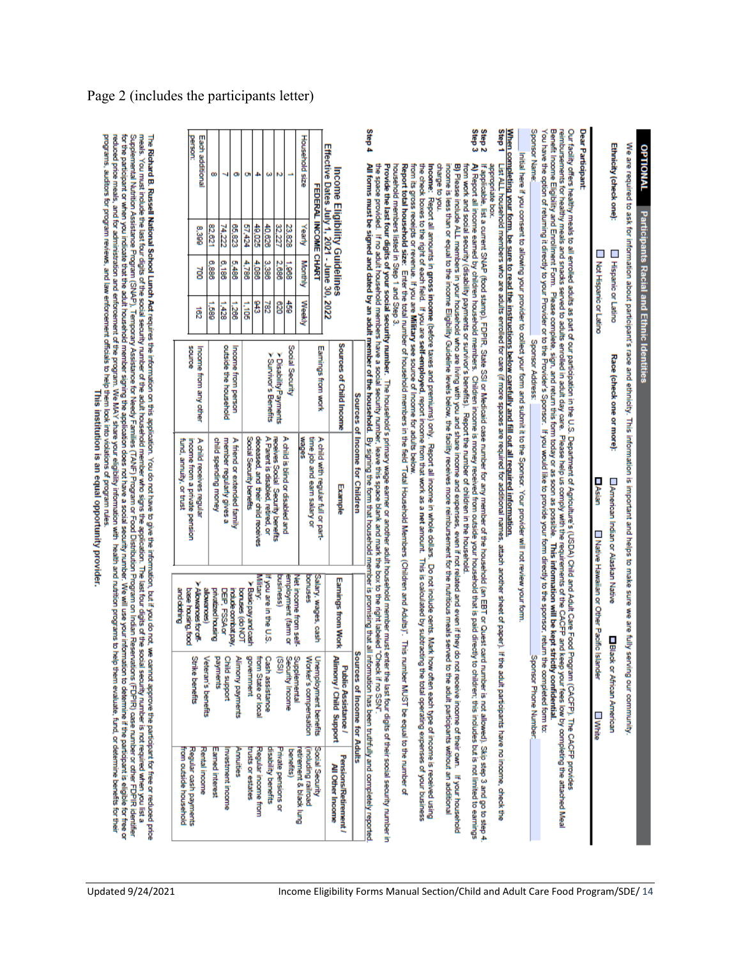| We are required to ask for information about participant's race and ethnicity. This information is important and helps to make sure we are fully serving our community.<br>Ethnicity (check one):<br><b>Hispanic or Latino</b>                                                                                                                                                                                                                                                                                                                                                                                                                                                                                  | Race (check one or more):       |                                                                   |                                                       |                                                                            |                                                 |
|-----------------------------------------------------------------------------------------------------------------------------------------------------------------------------------------------------------------------------------------------------------------------------------------------------------------------------------------------------------------------------------------------------------------------------------------------------------------------------------------------------------------------------------------------------------------------------------------------------------------------------------------------------------------------------------------------------------------|---------------------------------|-------------------------------------------------------------------|-------------------------------------------------------|----------------------------------------------------------------------------|-------------------------------------------------|
| Г<br>Not Hispanic or Latino                                                                                                                                                                                                                                                                                                                                                                                                                                                                                                                                                                                                                                                                                     |                                 | ∐Asian<br>American Indian or Alaskan Native                       | Native Hawaiian or Other Pacific Isla<br><b>Hiack</b> | ₫<br>or African American<br><b>White</b>                                   |                                                 |
| <b>Dear Participant:</b>                                                                                                                                                                                                                                                                                                                                                                                                                                                                                                                                                                                                                                                                                        |                                 |                                                                   |                                                       |                                                                            |                                                 |
| Benefit Income Eligibility and Enrollment Form. Please complete, sign, and return this form today or as soon as possible. This information will be kept strictly confidential.<br>You have the option of returning it directly to your Provider or to the Provider's Sponsor. If you would like to provide your form directly to the sponsor, return the completed form to:<br>reimbursements for healthy meals and snacks served to adults enrolled in adult day care. Please help us comply with the requirements of the CACFP and kee<br>Our facility offers healthy meals to all enrolled adults as part of our participation in the U.S. Department of Agriculture's (USDA) Child and Adult Care Food Proç |                                 |                                                                   |                                                       | Tram (CACFP). The CACFP provides                                           | p your fees low by completing the attached Meal |
| Sponsor Name:                                                                                                                                                                                                                                                                                                                                                                                                                                                                                                                                                                                                                                                                                                   | Sponsor Address:                |                                                                   |                                                       | Sponsor Phone Number                                                       |                                                 |
| Initial here if you consent to allowing your provider to collect your form and submit it to the Sponsor. Your provider will not review your form                                                                                                                                                                                                                                                                                                                                                                                                                                                                                                                                                                |                                 |                                                                   |                                                       |                                                                            |                                                 |
| Step 1<br>When completing your form, be sure to read the instructions below carefully and fill out all required information.<br>List ALL household members who are adults enrolled for care (if more spaces are required for additional names, attach another sheet of paper). If the adult parfoipants have no income, check the                                                                                                                                                                                                                                                                                                                                                                               |                                 |                                                                   |                                                       |                                                                            |                                                 |
| appropriate box.                                                                                                                                                                                                                                                                                                                                                                                                                                                                                                                                                                                                                                                                                                |                                 |                                                                   |                                                       |                                                                            |                                                 |
| Step 3<br>Step <sub>2</sub><br>If applicable, list a current SNAP (food stamp), FDPIR, State SSI or Medicaid case number for aw member of the household (an EBT or Quest card number is not allowed). Skip step 3 and go to step 4.<br>from work and social security (disability payments or survivor's benefits). Report the number of children in the household.<br>A) Report all noome earned by children household members. Children income is money received from outside your household that is paid directly to children; this includes but is not limited to earnings                                                                                                                                   |                                 |                                                                   |                                                       |                                                                            |                                                 |
| income is less than or equal to the income Eligibility Guideline levels below, the facility receives more reimbursement for the nutritious meals served to the adult participants without an additional<br>B) Please include ALL members in your household who are living with you and share and expenses, even if not related and even if they do not receive income of their own. If your household                                                                                                                                                                                                                                                                                                           |                                 |                                                                   |                                                       |                                                                            |                                                 |
| Income:<br>charge to you.<br>Report all amounts in gross income (before taxes and premiums) only. Report all income in whole dollars.                                                                                                                                                                                                                                                                                                                                                                                                                                                                                                                                                                           |                                 |                                                                   |                                                       | Do not include cents. Mark how often each type of income is received using |                                                 |
| from its gross receipts or revenue. If you are Military see source of Income for adults below.<br>the check boxes to the right of each field. If you are self-employed, report income from that work as a net amount. This is calculated by subtracting<br>Report total household size: Enter the total number of household members in the field "Total Household Members (Children and Adults)". This number MUST be equal to homber of                                                                                                                                                                                                                                                                        |                                 |                                                                   |                                                       | the total operating expenses of your business                              |                                                 |
| the space provided. If no adult household members have a social security number, leave thank and mark the box to the right labeled "Check if no SSN".<br>household members listed in Step 1 and Step 3.<br>Provide the last four digits of your social security number. The household's primary wage earner or another adult household member must enter the last four digits of their social security number in                                                                                                                                                                                                                                                                                                |                                 |                                                                   |                                                       |                                                                            |                                                 |
| Step 4<br>All forms must be signed and dated by an adult member of the household. By signing the form that household member is promising that all information has been truthfully and completely reported                                                                                                                                                                                                                                                                                                                                                                                                                                                                                                       |                                 | Sources of Income for Children                                    |                                                       | Sources of Income for Adults                                               |                                                 |
| Income Eligibility Guidelines                                                                                                                                                                                                                                                                                                                                                                                                                                                                                                                                                                                                                                                                                   | Sources of Child Income         | <b>Example</b>                                                    | <b>Eamings from Work</b>                              | Alimony / Child Support<br><b>Public Assistance /</b>                      | Pensions/Retirement /<br>All Other Income       |
| Effective Dates July 1, 2021 - June 30, 2022<br>FEDERAL INCOME CHART                                                                                                                                                                                                                                                                                                                                                                                                                                                                                                                                                                                                                                            | Earnings from work              | time job and earn salary or<br>A child with regular full or part- | Salary, wages, cash                                   | Unemployment benefits                                                      | Social Security                                 |
| Household size<br>Yearly<br><b>Monthly</b><br>Weekly                                                                                                                                                                                                                                                                                                                                                                                                                                                                                                                                                                                                                                                            | sebew                           |                                                                   | conuses                                               | Worker's compensation                                                      | including railroad<br>etirement & black lung    |
| ÷<br>23,828<br>1,988<br>$\frac{4}{3}$                                                                                                                                                                                                                                                                                                                                                                                                                                                                                                                                                                                                                                                                           | Social Security                 | A child is blind or disabled and                                  | employment (farm or<br>Net income from self-          | Security Income<br>Supplemental                                            | <b>benefits</b> )                               |
| N<br>32,227<br>2,686<br>g                                                                                                                                                                                                                                                                                                                                                                                                                                                                                                                                                                                                                                                                                       | > Disability Payments           | receives Social Security benefits                                 | <b>SSBUISING</b>                                      | (iSS)                                                                      | muste pensions or                               |
| ω<br>40,626<br>3,386<br>287                                                                                                                                                                                                                                                                                                                                                                                                                                                                                                                                                                                                                                                                                     | > Survivor's Benefits           | A Parent is disabled, retired, or                                 | If you are in the U.S.                                | Cash assistance                                                            | disability benefits                             |
| 4<br>49,025<br>4,086<br>843                                                                                                                                                                                                                                                                                                                                                                                                                                                                                                                                                                                                                                                                                     |                                 | deceased, and their child receives                                | <b>Miltary:</b>                                       | from State or local                                                        | Regular income from                             |
| o<br>57,424<br>4,788<br>i.<br>S                                                                                                                                                                                                                                                                                                                                                                                                                                                                                                                                                                                                                                                                                 |                                 | Social Security benefits                                          | >Basic payand cash                                    | government                                                                 | nusts or estates                                |
| œ<br>65,823<br>5,486<br>$\overline{\text{286}}$                                                                                                                                                                                                                                                                                                                                                                                                                                                                                                                                                                                                                                                                 | Income from person              | A friend or extended family                                       | indude combat pay<br>boruses (do NOT                  | Alimony payments                                                           | <b>Limuries</b>                                 |
| ⊣<br>74,222<br>6,186<br>1,428                                                                                                                                                                                                                                                                                                                                                                                                                                                                                                                                                                                                                                                                                   | outside the household           | member regularly gives a                                          | DEP, FSSAor                                           | <b>Child support</b>                                                       | nvestment income                                |
| œ<br>82,621<br>6,886<br>.<br>88                                                                                                                                                                                                                                                                                                                                                                                                                                                                                                                                                                                                                                                                                 |                                 | child spending money                                              | privatized housing                                    | payments                                                                   | amed interest                                   |
| person:<br>Each additional<br>8,399<br>à<br>ā                                                                                                                                                                                                                                                                                                                                                                                                                                                                                                                                                                                                                                                                   | earnos<br>Income from any other | income from a private pension<br>A child receives regular         | > Alowances for of<br>alowances)                      | <b>Strike benefits</b><br>Veteran's benefits                               | Regular cash payments<br>lental income          |
|                                                                                                                                                                                                                                                                                                                                                                                                                                                                                                                                                                                                                                                                                                                 |                                 | fund, annuity, or trust                                           | base housing, food<br>andebting                       |                                                                            | from outside household                          |
| The Richard B. Russell National School Lunch Act requires the information on this application. You do not have to give the information, but if you do not, we cannot approve the participant for free or reduced price                                                                                                                                                                                                                                                                                                                                                                                                                                                                                          |                                 |                                                                   |                                                       |                                                                            |                                                 |
| Í                                                                                                                                                                                                                                                                                                                                                                                                                                                                                                                                                                                                                                                                                                               |                                 |                                                                   | E Little                                              |                                                                            |                                                 |

meals. You must include the last four digits of the social security number of the application. The last four digits of the social secunity number is not required when you list a "explore the last four digits of the social This institution is an equal opportunity provider.

### Page 2 (includes the participants letter)

**DATIONAL** 

**Participants Racial and Ethnic Identities**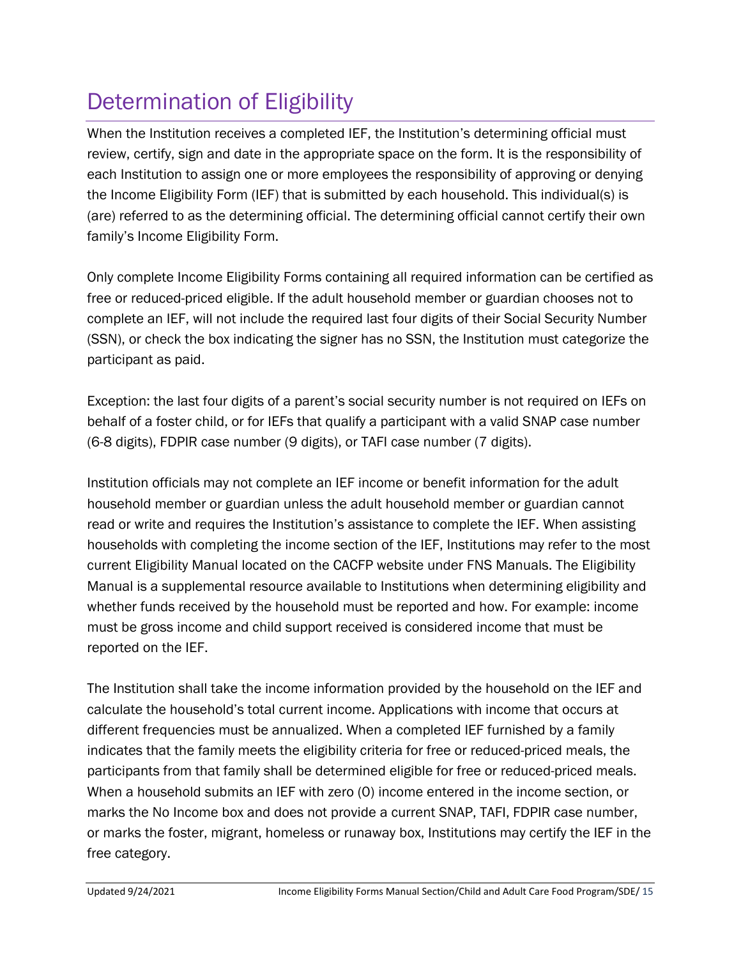# <span id="page-14-0"></span>Determination of Eligibility

When the Institution receives a completed IEF, the Institution's determining official must review, certify, sign and date in the appropriate space on the form. It is the responsibility of each Institution to assign one or more employees the responsibility of approving or denying the Income Eligibility Form (IEF) that is submitted by each household. This individual(s) is (are) referred to as the determining official. The determining official cannot certify their own family's Income Eligibility Form.

Only complete Income Eligibility Forms containing all required information can be certified as free or reduced-priced eligible. If the adult household member or guardian chooses not to complete an IEF, will not include the required last four digits of their Social Security Number (SSN), or check the box indicating the signer has no SSN, the Institution must categorize the participant as paid.

Exception: the last four digits of a parent's social security number is not required on IEFs on behalf of a foster child, or for IEFs that qualify a participant with a valid SNAP case number (6-8 digits), FDPIR case number (9 digits), or TAFI case number (7 digits).

Institution officials may not complete an IEF income or benefit information for the adult household member or guardian unless the adult household member or guardian cannot read or write and requires the Institution's assistance to complete the IEF. When assisting households with completing the income section of the IEF, Institutions may refer to the most current Eligibility Manual located on the CACFP website under FNS Manuals. The Eligibility Manual is a supplemental resource available to Institutions when determining eligibility and whether funds received by the household must be reported and how. For example: income must be gross income and child support received is considered income that must be reported on the IEF.

The Institution shall take the income information provided by the household on the IEF and calculate the household's total current income. Applications with income that occurs at different frequencies must be annualized. When a completed IEF furnished by a family indicates that the family meets the eligibility criteria for free or reduced-priced meals, the participants from that family shall be determined eligible for free or reduced-priced meals. When a household submits an IEF with zero (0) income entered in the income section, or marks the No Income box and does not provide a current SNAP, TAFI, FDPIR case number, or marks the foster, migrant, homeless or runaway box, Institutions may certify the IEF in the free category.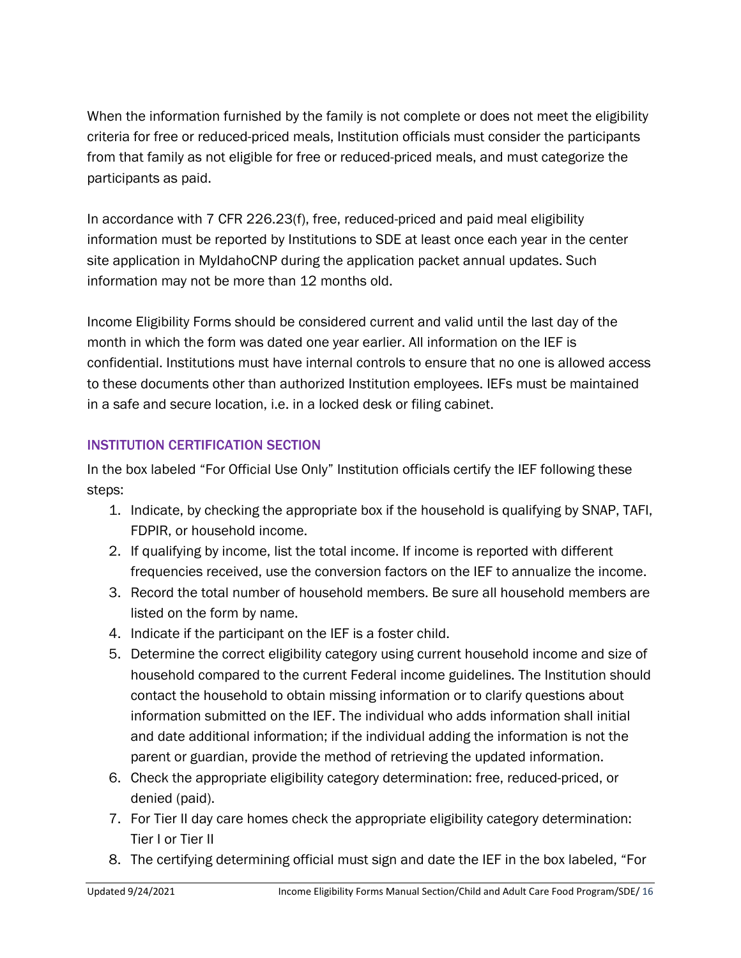When the information furnished by the family is not complete or does not meet the eligibility criteria for free or reduced-priced meals, Institution officials must consider the participants from that family as not eligible for free or reduced-priced meals, and must categorize the participants as paid.

In accordance with 7 CFR 226.23(f), free, reduced-priced and paid meal eligibility information must be reported by Institutions to SDE at least once each year in the center site application in MyIdahoCNP during the application packet annual updates. Such information may not be more than 12 months old.

Income Eligibility Forms should be considered current and valid until the last day of the month in which the form was dated one year earlier. All information on the IEF is confidential. Institutions must have internal controls to ensure that no one is allowed access to these documents other than authorized Institution employees. IEFs must be maintained in a safe and secure location, i.e. in a locked desk or filing cabinet.

### INSTITUTION CERTIFICATION SECTION

In the box labeled "For Official Use Only" Institution officials certify the IEF following these steps:

- 1. Indicate, by checking the appropriate box if the household is qualifying by SNAP, TAFI, FDPIR, or household income.
- 2. If qualifying by income, list the total income. If income is reported with different frequencies received, use the conversion factors on the IEF to annualize the income.
- 3. Record the total number of household members. Be sure all household members are listed on the form by name.
- 4. Indicate if the participant on the IEF is a foster child.
- 5. Determine the correct eligibility category using current household income and size of household compared to the current Federal income guidelines. The Institution should contact the household to obtain missing information or to clarify questions about information submitted on the IEF. The individual who adds information shall initial and date additional information; if the individual adding the information is not the parent or guardian, provide the method of retrieving the updated information.
- 6. Check the appropriate eligibility category determination: free, reduced-priced, or denied (paid).
- 7. For Tier II day care homes check the appropriate eligibility category determination: Tier I or Tier II
- 8. The certifying determining official must sign and date the IEF in the box labeled, "For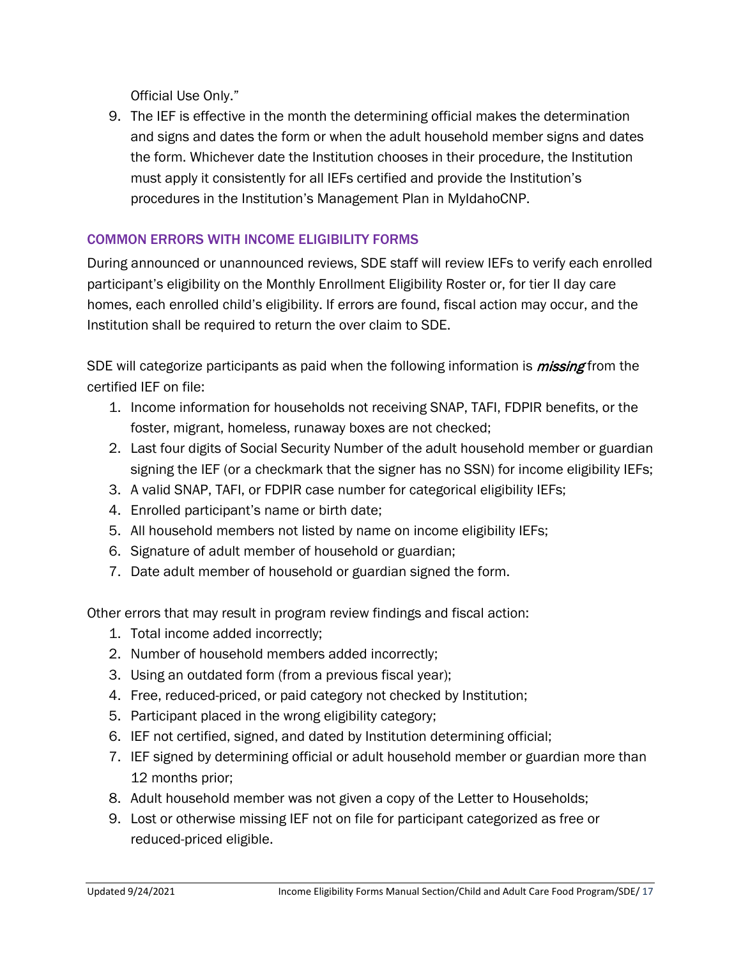Official Use Only."

9. The IEF is effective in the month the determining official makes the determination and signs and dates the form or when the adult household member signs and dates the form. Whichever date the Institution chooses in their procedure, the Institution must apply it consistently for all IEFs certified and provide the Institution's procedures in the Institution's Management Plan in MyIdahoCNP.

### COMMON ERRORS WITH INCOME ELIGIBILITY FORMS

During announced or unannounced reviews, SDE staff will review IEFs to verify each enrolled participant's eligibility on the Monthly Enrollment Eligibility Roster or, for tier II day care homes, each enrolled child's eligibility. If errors are found, fiscal action may occur, and the Institution shall be required to return the over claim to SDE.

SDE will categorize participants as paid when the following information is *missing* from the certified IEF on file:

- 1. Income information for households not receiving SNAP, TAFI, FDPIR benefits, or the foster, migrant, homeless, runaway boxes are not checked;
- 2. Last four digits of Social Security Number of the adult household member or guardian signing the IEF (or a checkmark that the signer has no SSN) for income eligibility IEFs;
- 3. A valid SNAP, TAFI, or FDPIR case number for categorical eligibility IEFs;
- 4. Enrolled participant's name or birth date;
- 5. All household members not listed by name on income eligibility IEFs;
- 6. Signature of adult member of household or guardian;
- 7. Date adult member of household or guardian signed the form.

Other errors that may result in program review findings and fiscal action:

- 1. Total income added incorrectly;
- 2. Number of household members added incorrectly;
- 3. Using an outdated form (from a previous fiscal year);
- 4. Free, reduced-priced, or paid category not checked by Institution;
- 5. Participant placed in the wrong eligibility category;
- 6. IEF not certified, signed, and dated by Institution determining official;
- 7. IEF signed by determining official or adult household member or guardian more than 12 months prior;
- 8. Adult household member was not given a copy of the Letter to Households;
- 9. Lost or otherwise missing IEF not on file for participant categorized as free or reduced-priced eligible.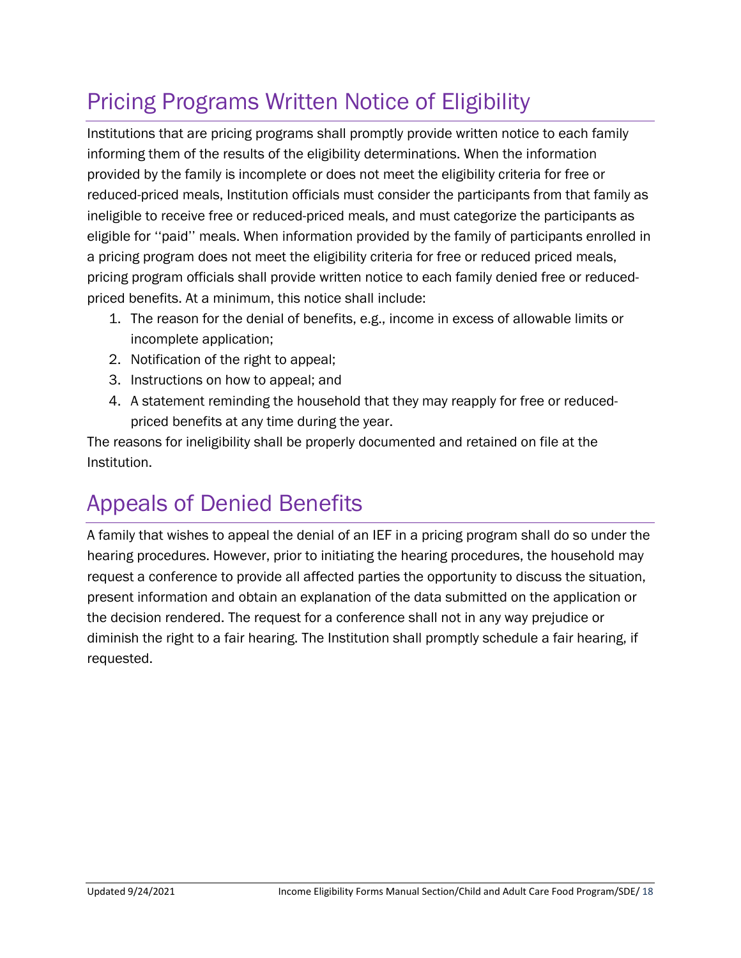# <span id="page-17-0"></span>Pricing Programs Written Notice of Eligibility

Institutions that are pricing programs shall promptly provide written notice to each family informing them of the results of the eligibility determinations. When the information provided by the family is incomplete or does not meet the eligibility criteria for free or reduced-priced meals, Institution officials must consider the participants from that family as ineligible to receive free or reduced-priced meals, and must categorize the participants as eligible for ''paid'' meals. When information provided by the family of participants enrolled in a pricing program does not meet the eligibility criteria for free or reduced priced meals, pricing program officials shall provide written notice to each family denied free or reducedpriced benefits. At a minimum, this notice shall include:

- 1. The reason for the denial of benefits, e.g., income in excess of allowable limits or incomplete application;
- 2. Notification of the right to appeal;
- 3. Instructions on how to appeal; and
- 4. A statement reminding the household that they may reapply for free or reducedpriced benefits at any time during the year.

The reasons for ineligibility shall be properly documented and retained on file at the Institution.

# <span id="page-17-1"></span>Appeals of Denied Benefits

A family that wishes to appeal the denial of an IEF in a pricing program shall do so under the hearing procedures. However, prior to initiating the hearing procedures, the household may request a conference to provide all affected parties the opportunity to discuss the situation, present information and obtain an explanation of the data submitted on the application or the decision rendered. The request for a conference shall not in any way prejudice or diminish the right to a fair hearing. The Institution shall promptly schedule a fair hearing, if requested.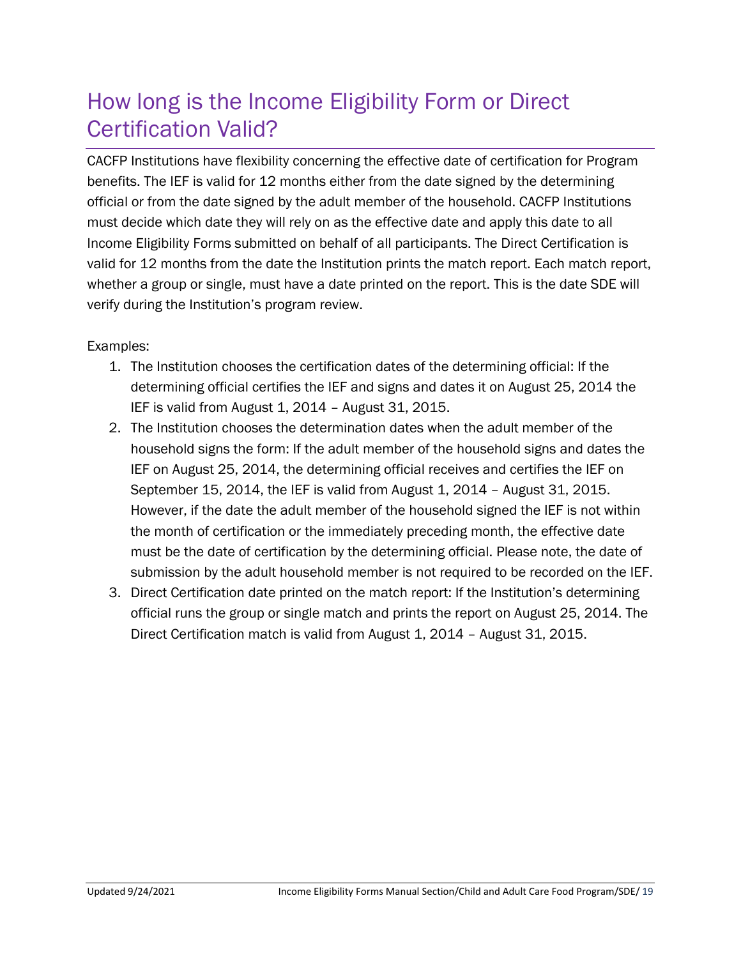# <span id="page-18-0"></span>How long is the Income Eligibility Form or Direct Certification Valid?

CACFP Institutions have flexibility concerning the effective date of certification for Program benefits. The IEF is valid for 12 months either from the date signed by the determining official or from the date signed by the adult member of the household. CACFP Institutions must decide which date they will rely on as the effective date and apply this date to all Income Eligibility Forms submitted on behalf of all participants. The Direct Certification is valid for 12 months from the date the Institution prints the match report. Each match report, whether a group or single, must have a date printed on the report. This is the date SDE will verify during the Institution's program review.

#### Examples:

- 1. The Institution chooses the certification dates of the determining official: If the determining official certifies the IEF and signs and dates it on August 25, 2014 the IEF is valid from August 1, 2014 – August 31, 2015.
- 2. The Institution chooses the determination dates when the adult member of the household signs the form: If the adult member of the household signs and dates the IEF on August 25, 2014, the determining official receives and certifies the IEF on September 15, 2014, the IEF is valid from August 1, 2014 – August 31, 2015. However, if the date the adult member of the household signed the IEF is not within the month of certification or the immediately preceding month, the effective date must be the date of certification by the determining official. Please note, the date of submission by the adult household member is not required to be recorded on the IEF.
- 3. Direct Certification date printed on the match report: If the Institution's determining official runs the group or single match and prints the report on August 25, 2014. The Direct Certification match is valid from August 1, 2014 – August 31, 2015.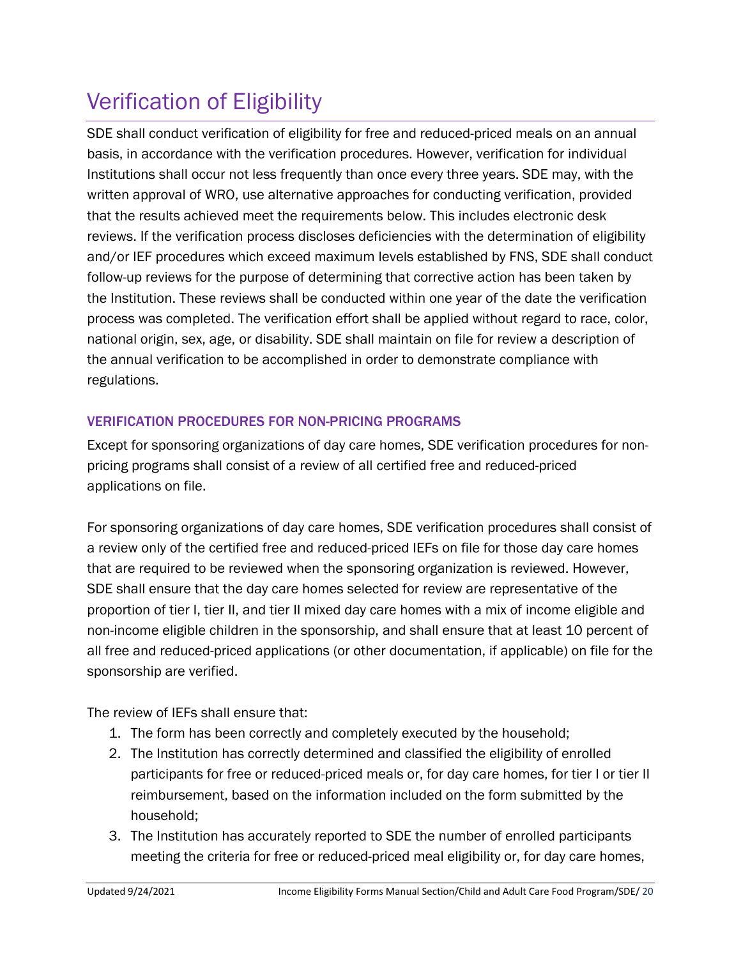# <span id="page-19-0"></span>Verification of Eligibility

SDE shall conduct verification of eligibility for free and reduced-priced meals on an annual basis, in accordance with the verification procedures. However, verification for individual Institutions shall occur not less frequently than once every three years. SDE may, with the written approval of WRO, use alternative approaches for conducting verification, provided that the results achieved meet the requirements below. This includes electronic desk reviews. If the verification process discloses deficiencies with the determination of eligibility and/or IEF procedures which exceed maximum levels established by FNS, SDE shall conduct follow-up reviews for the purpose of determining that corrective action has been taken by the Institution. These reviews shall be conducted within one year of the date the verification process was completed. The verification effort shall be applied without regard to race, color, national origin, sex, age, or disability. SDE shall maintain on file for review a description of the annual verification to be accomplished in order to demonstrate compliance with regulations.

### VERIFICATION PROCEDURES FOR NON-PRICING PROGRAMS

Except for sponsoring organizations of day care homes, SDE verification procedures for nonpricing programs shall consist of a review of all certified free and reduced-priced applications on file.

For sponsoring organizations of day care homes, SDE verification procedures shall consist of a review only of the certified free and reduced-priced IEFs on file for those day care homes that are required to be reviewed when the sponsoring organization is reviewed. However, SDE shall ensure that the day care homes selected for review are representative of the proportion of tier I, tier II, and tier II mixed day care homes with a mix of income eligible and non-income eligible children in the sponsorship, and shall ensure that at least 10 percent of all free and reduced-priced applications (or other documentation, if applicable) on file for the sponsorship are verified.

The review of IEFs shall ensure that:

- 1. The form has been correctly and completely executed by the household;
- 2. The Institution has correctly determined and classified the eligibility of enrolled participants for free or reduced-priced meals or, for day care homes, for tier I or tier II reimbursement, based on the information included on the form submitted by the household;
- 3. The Institution has accurately reported to SDE the number of enrolled participants meeting the criteria for free or reduced-priced meal eligibility or, for day care homes,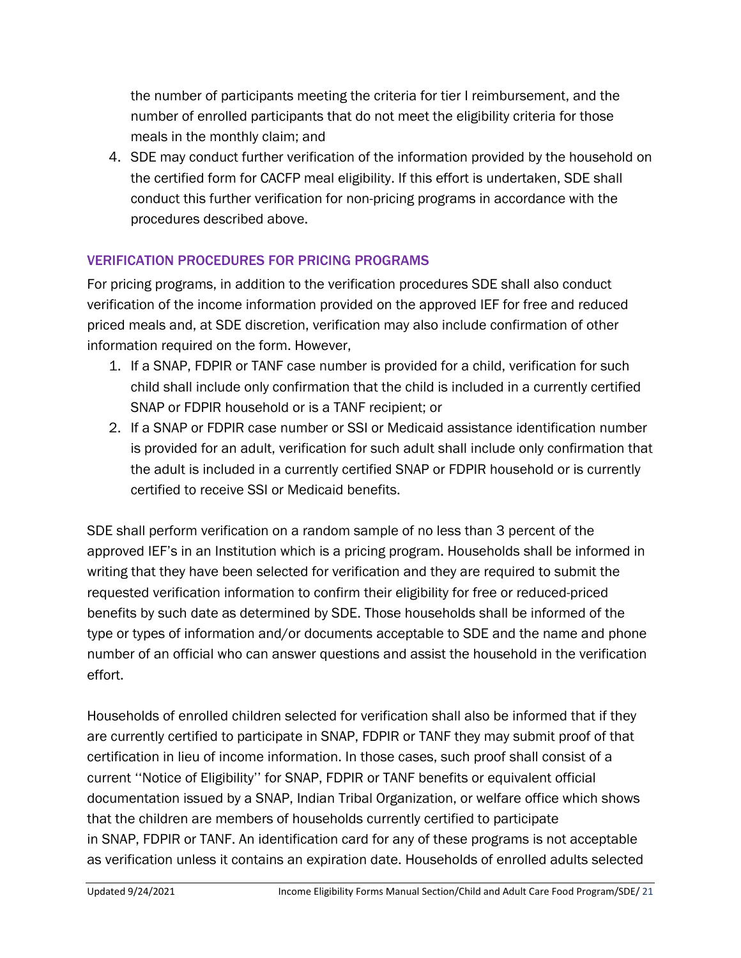the number of participants meeting the criteria for tier I reimbursement, and the number of enrolled participants that do not meet the eligibility criteria for those meals in the monthly claim; and

4. SDE may conduct further verification of the information provided by the household on the certified form for CACFP meal eligibility. If this effort is undertaken, SDE shall conduct this further verification for non-pricing programs in accordance with the procedures described above.

### VERIFICATION PROCEDURES FOR PRICING PROGRAMS

For pricing programs, in addition to the verification procedures SDE shall also conduct verification of the income information provided on the approved IEF for free and reduced priced meals and, at SDE discretion, verification may also include confirmation of other information required on the form. However,

- 1. If a SNAP, FDPIR or TANF case number is provided for a child, verification for such child shall include only confirmation that the child is included in a currently certified SNAP or FDPIR household or is a TANF recipient; or
- 2. If a SNAP or FDPIR case number or SSI or Medicaid assistance identification number is provided for an adult, verification for such adult shall include only confirmation that the adult is included in a currently certified SNAP or FDPIR household or is currently certified to receive SSI or Medicaid benefits.

SDE shall perform verification on a random sample of no less than 3 percent of the approved IEF's in an Institution which is a pricing program. Households shall be informed in writing that they have been selected for verification and they are required to submit the requested verification information to confirm their eligibility for free or reduced-priced benefits by such date as determined by SDE. Those households shall be informed of the type or types of information and/or documents acceptable to SDE and the name and phone number of an official who can answer questions and assist the household in the verification effort.

Households of enrolled children selected for verification shall also be informed that if they are currently certified to participate in SNAP, FDPIR or TANF they may submit proof of that certification in lieu of income information. In those cases, such proof shall consist of a current ''Notice of Eligibility'' for SNAP, FDPIR or TANF benefits or equivalent official documentation issued by a SNAP, Indian Tribal Organization, or welfare office which shows that the children are members of households currently certified to participate in SNAP, FDPIR or TANF. An identification card for any of these programs is not acceptable as verification unless it contains an expiration date. Households of enrolled adults selected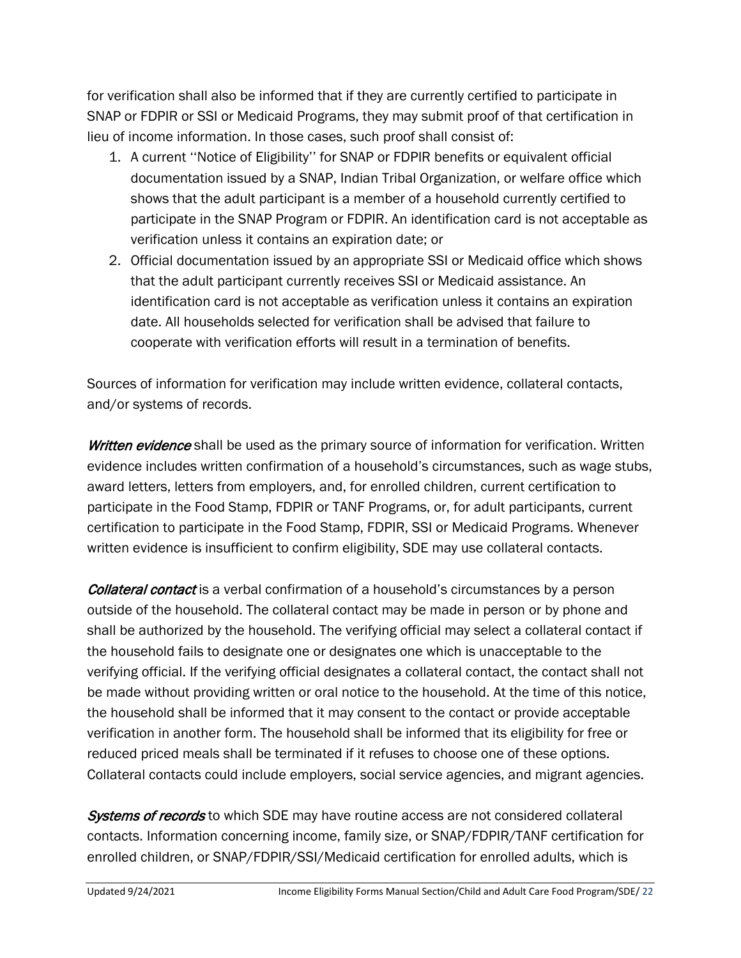for verification shall also be informed that if they are currently certified to participate in SNAP or FDPIR or SSI or Medicaid Programs, they may submit proof of that certification in lieu of income information. In those cases, such proof shall consist of:

- 1. A current ''Notice of Eligibility'' for SNAP or FDPIR benefits or equivalent official documentation issued by a SNAP, Indian Tribal Organization, or welfare office which shows that the adult participant is a member of a household currently certified to participate in the SNAP Program or FDPIR. An identification card is not acceptable as verification unless it contains an expiration date; or
- 2. Official documentation issued by an appropriate SSI or Medicaid office which shows that the adult participant currently receives SSI or Medicaid assistance. An identification card is not acceptable as verification unless it contains an expiration date. All households selected for verification shall be advised that failure to cooperate with verification efforts will result in a termination of benefits.

Sources of information for verification may include written evidence, collateral contacts, and/or systems of records.

Written evidence shall be used as the primary source of information for verification. Written evidence includes written confirmation of a household's circumstances, such as wage stubs, award letters, letters from employers, and, for enrolled children, current certification to participate in the Food Stamp, FDPIR or TANF Programs, or, for adult participants, current certification to participate in the Food Stamp, FDPIR, SSI or Medicaid Programs. Whenever written evidence is insufficient to confirm eligibility, SDE may use collateral contacts.

**Collateral contact** is a verbal confirmation of a household's circumstances by a person outside of the household. The collateral contact may be made in person or by phone and shall be authorized by the household. The verifying official may select a collateral contact if the household fails to designate one or designates one which is unacceptable to the verifying official. If the verifying official designates a collateral contact, the contact shall not be made without providing written or oral notice to the household. At the time of this notice, the household shall be informed that it may consent to the contact or provide acceptable verification in another form. The household shall be informed that its eligibility for free or reduced priced meals shall be terminated if it refuses to choose one of these options. Collateral contacts could include employers, social service agencies, and migrant agencies.

Systems of records to which SDE may have routine access are not considered collateral contacts. Information concerning income, family size, or SNAP/FDPIR/TANF certification for enrolled children, or SNAP/FDPIR/SSI/Medicaid certification for enrolled adults, which is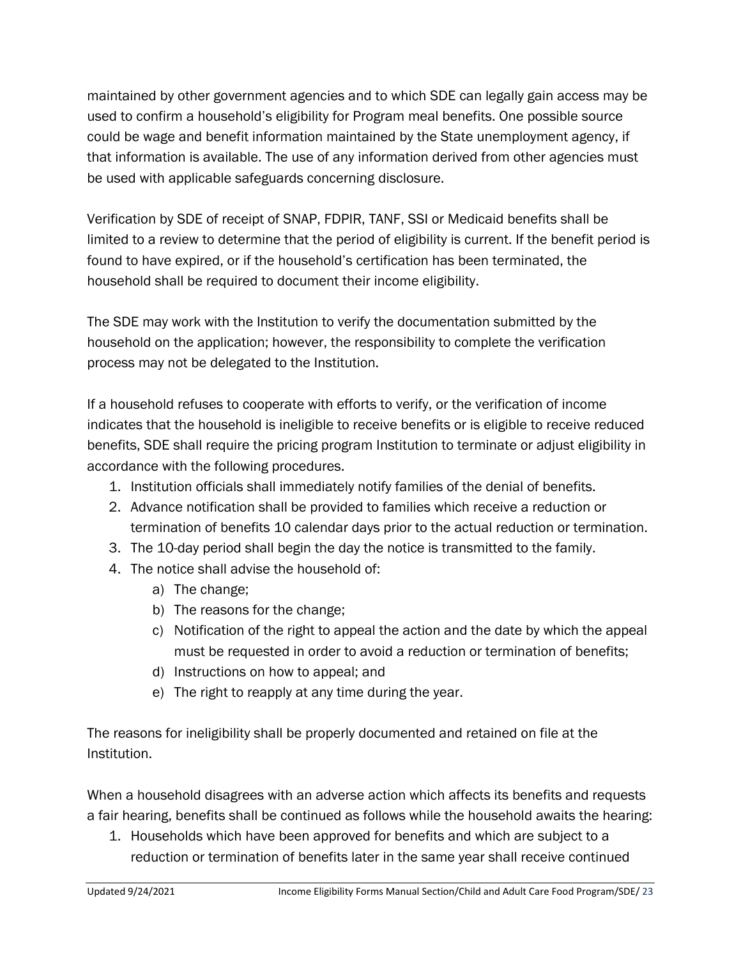maintained by other government agencies and to which SDE can legally gain access may be used to confirm a household's eligibility for Program meal benefits. One possible source could be wage and benefit information maintained by the State unemployment agency, if that information is available. The use of any information derived from other agencies must be used with applicable safeguards concerning disclosure.

Verification by SDE of receipt of SNAP, FDPIR, TANF, SSI or Medicaid benefits shall be limited to a review to determine that the period of eligibility is current. If the benefit period is found to have expired, or if the household's certification has been terminated, the household shall be required to document their income eligibility.

The SDE may work with the Institution to verify the documentation submitted by the household on the application; however, the responsibility to complete the verification process may not be delegated to the Institution.

If a household refuses to cooperate with efforts to verify, or the verification of income indicates that the household is ineligible to receive benefits or is eligible to receive reduced benefits, SDE shall require the pricing program Institution to terminate or adjust eligibility in accordance with the following procedures.

- 1. Institution officials shall immediately notify families of the denial of benefits.
- 2. Advance notification shall be provided to families which receive a reduction or termination of benefits 10 calendar days prior to the actual reduction or termination.
- 3. The 10-day period shall begin the day the notice is transmitted to the family.
- 4. The notice shall advise the household of:
	- a) The change;
	- b) The reasons for the change;
	- c) Notification of the right to appeal the action and the date by which the appeal must be requested in order to avoid a reduction or termination of benefits;
	- d) Instructions on how to appeal; and
	- e) The right to reapply at any time during the year.

The reasons for ineligibility shall be properly documented and retained on file at the Institution.

When a household disagrees with an adverse action which affects its benefits and requests a fair hearing, benefits shall be continued as follows while the household awaits the hearing:

1. Households which have been approved for benefits and which are subject to a reduction or termination of benefits later in the same year shall receive continued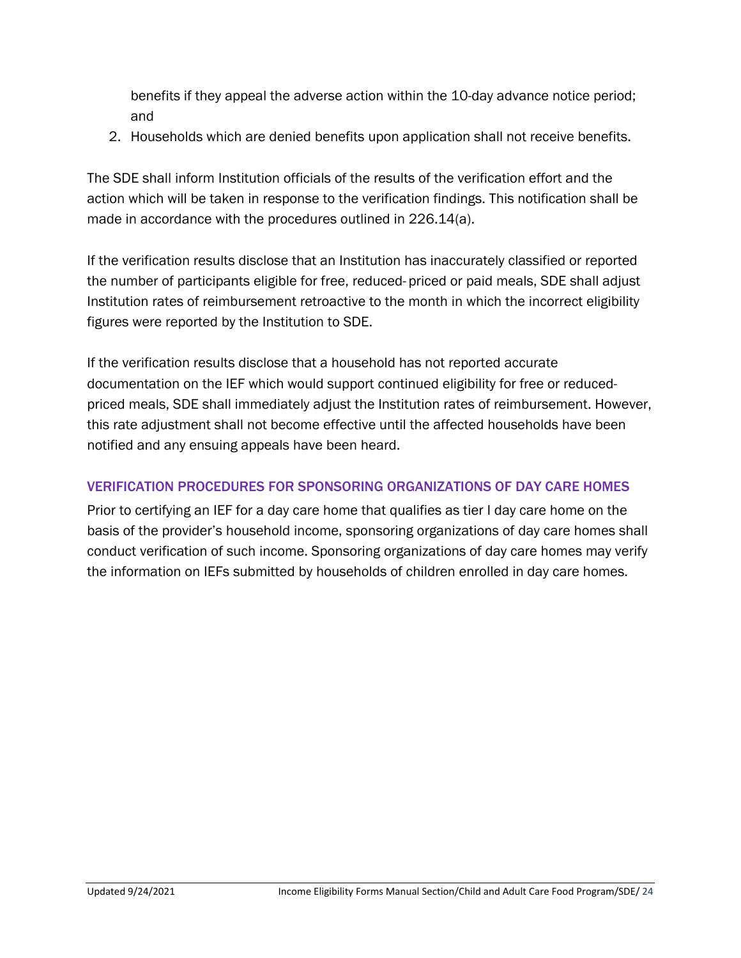benefits if they appeal the adverse action within the 10-day advance notice period; and

2. Households which are denied benefits upon application shall not receive benefits.

The SDE shall inform Institution officials of the results of the verification effort and the action which will be taken in response to the verification findings. This notification shall be made in accordance with the procedures outlined in 226.14(a).

If the verification results disclose that an Institution has inaccurately classified or reported the number of participants eligible for free, reduced- priced or paid meals, SDE shall adjust Institution rates of reimbursement retroactive to the month in which the incorrect eligibility figures were reported by the Institution to SDE.

If the verification results disclose that a household has not reported accurate documentation on the IEF which would support continued eligibility for free or reducedpriced meals, SDE shall immediately adjust the Institution rates of reimbursement. However, this rate adjustment shall not become effective until the affected households have been notified and any ensuing appeals have been heard.

#### VERIFICATION PROCEDURES FOR SPONSORING ORGANIZATIONS OF DAY CARE HOMES

Prior to certifying an IEF for a day care home that qualifies as tier I day care home on the basis of the provider's household income, sponsoring organizations of day care homes shall conduct verification of such income. Sponsoring organizations of day care homes may verify the information on IEFs submitted by households of children enrolled in day care homes.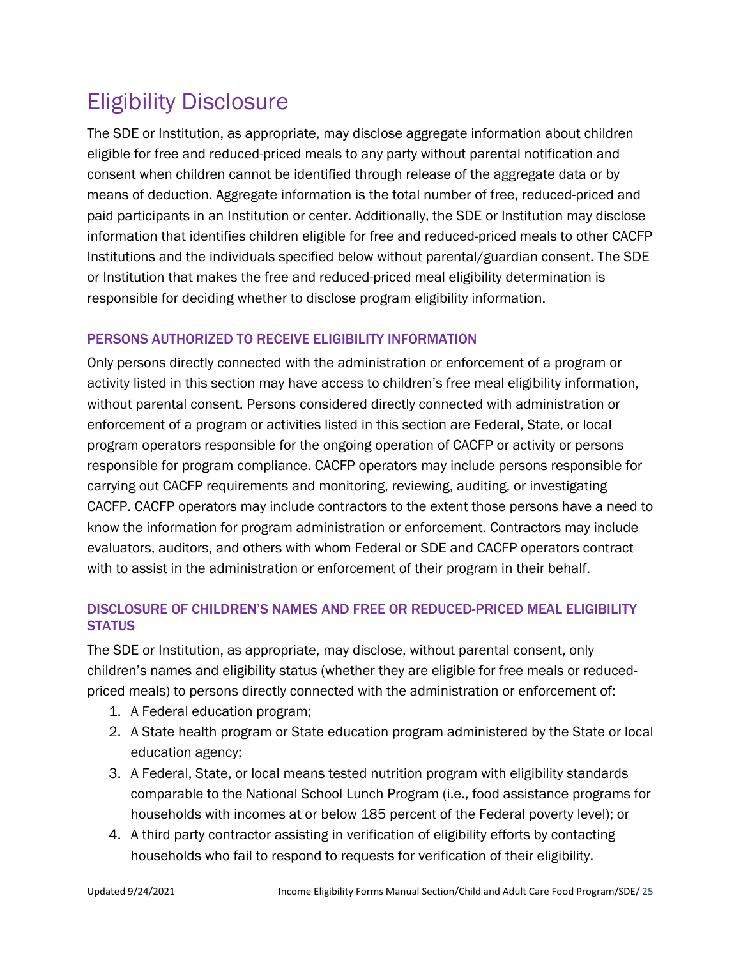# <span id="page-24-0"></span>Eligibility Disclosure

The SDE or Institution, as appropriate, may disclose aggregate information about children eligible for free and reduced-priced meals to any party without parental notification and consent when children cannot be identified through release of the aggregate data or by means of deduction. Aggregate information is the total number of free, reduced-priced and paid participants in an Institution or center. Additionally, the SDE or Institution may disclose information that identifies children eligible for free and reduced-priced meals to other CACFP Institutions and the individuals specified below without parental/guardian consent. The SDE or Institution that makes the free and reduced-priced meal eligibility determination is responsible for deciding whether to disclose program eligibility information.

### PERSONS AUTHORIZED TO RECEIVE ELIGIBILITY INFORMATION

Only persons directly connected with the administration or enforcement of a program or activity listed in this section may have access to children's free meal eligibility information, without parental consent. Persons considered directly connected with administration or enforcement of a program or activities listed in this section are Federal, State, or local program operators responsible for the ongoing operation of CACFP or activity or persons responsible for program compliance. CACFP operators may include persons responsible for carrying out CACFP requirements and monitoring, reviewing, auditing, or investigating CACFP. CACFP operators may include contractors to the extent those persons have a need to know the information for program administration or enforcement. Contractors may include evaluators, auditors, and others with whom Federal or SDE and CACFP operators contract with to assist in the administration or enforcement of their program in their behalf.

### DISCLOSURE OF CHILDREN'S NAMES AND FREE OR REDUCED-PRICED MEAL ELIGIBILITY **STATUS**

The SDE or Institution, as appropriate, may disclose, without parental consent, only children's names and eligibility status (whether they are eligible for free meals or reducedpriced meals) to persons directly connected with the administration or enforcement of:

- 1. A Federal education program;
- 2. A State health program or State education program administered by the State or local education agency;
- 3. A Federal, State, or local means tested nutrition program with eligibility standards comparable to the National School Lunch Program (i.e., food assistance programs for households with incomes at or below 185 percent of the Federal poverty level); or
- 4. A third party contractor assisting in verification of eligibility efforts by contacting households who fail to respond to requests for verification of their eligibility.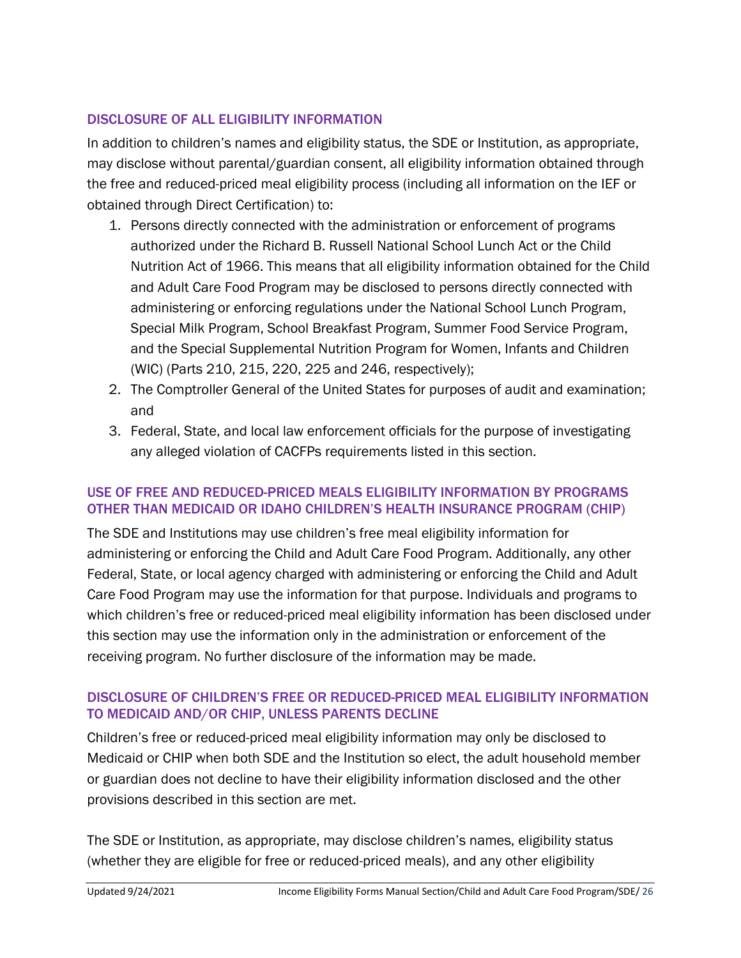#### DISCLOSURE OF ALL ELIGIBILITY INFORMATION

In addition to children's names and eligibility status, the SDE or Institution, as appropriate, may disclose without parental/guardian consent, all eligibility information obtained through the free and reduced-priced meal eligibility process (including all information on the IEF or obtained through Direct Certification) to:

- 1. Persons directly connected with the administration or enforcement of programs authorized under the Richard B. Russell National School Lunch Act or the Child Nutrition Act of 1966. This means that all eligibility information obtained for the Child and Adult Care Food Program may be disclosed to persons directly connected with administering or enforcing regulations under the National School Lunch Program, Special Milk Program, School Breakfast Program, Summer Food Service Program, and the Special Supplemental Nutrition Program for Women, Infants and Children (WIC) (Parts 210, 215, 220, 225 and 246, respectively);
- 2. The Comptroller General of the United States for purposes of audit and examination; and
- 3. Federal, State, and local law enforcement officials for the purpose of investigating any alleged violation of CACFPs requirements listed in this section.

#### USE OF FREE AND REDUCED-PRICED MEALS ELIGIBILITY INFORMATION BY PROGRAMS OTHER THAN MEDICAID OR IDAHO CHILDREN'S HEALTH INSURANCE PROGRAM (CHIP)

The SDE and Institutions may use children's free meal eligibility information for administering or enforcing the Child and Adult Care Food Program. Additionally, any other Federal, State, or local agency charged with administering or enforcing the Child and Adult Care Food Program may use the information for that purpose. Individuals and programs to which children's free or reduced-priced meal eligibility information has been disclosed under this section may use the information only in the administration or enforcement of the receiving program. No further disclosure of the information may be made.

#### DISCLOSURE OF CHILDREN'S FREE OR REDUCED-PRICED MEAL ELIGIBILITY INFORMATION TO MEDICAID AND/OR CHIP, UNLESS PARENTS DECLINE

Children's free or reduced-priced meal eligibility information may only be disclosed to Medicaid or CHIP when both SDE and the Institution so elect, the adult household member or guardian does not decline to have their eligibility information disclosed and the other provisions described in this section are met.

The SDE or Institution, as appropriate, may disclose children's names, eligibility status (whether they are eligible for free or reduced-priced meals), and any other eligibility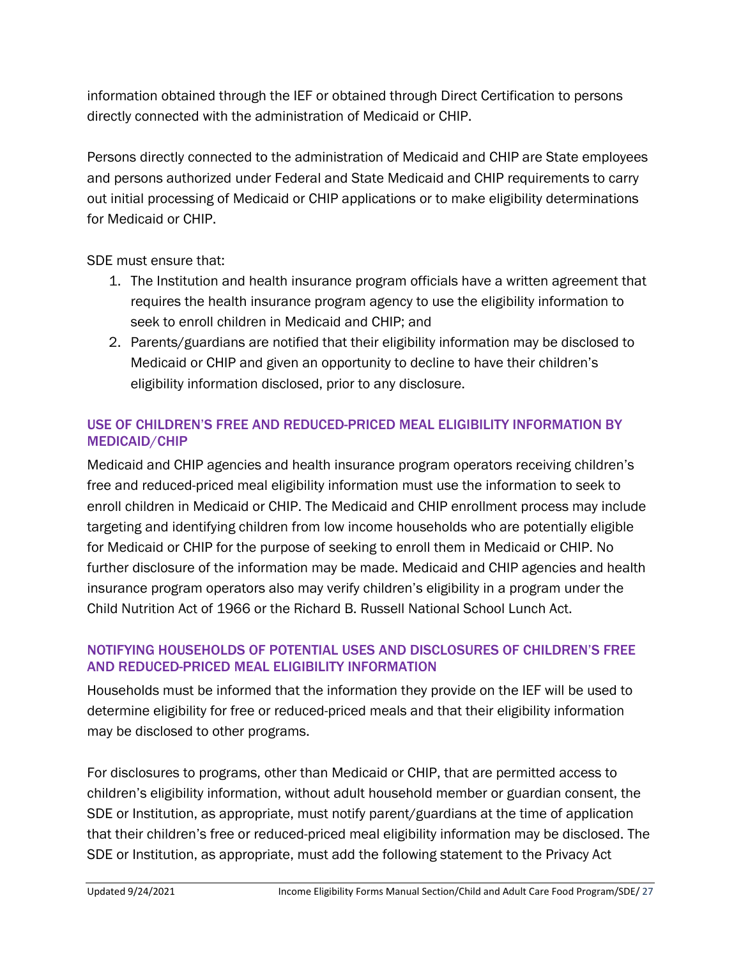information obtained through the IEF or obtained through Direct Certification to persons directly connected with the administration of Medicaid or CHIP.

Persons directly connected to the administration of Medicaid and CHIP are State employees and persons authorized under Federal and State Medicaid and CHIP requirements to carry out initial processing of Medicaid or CHIP applications or to make eligibility determinations for Medicaid or CHIP.

SDE must ensure that:

- 1. The Institution and health insurance program officials have a written agreement that requires the health insurance program agency to use the eligibility information to seek to enroll children in Medicaid and CHIP; and
- 2. Parents/guardians are notified that their eligibility information may be disclosed to Medicaid or CHIP and given an opportunity to decline to have their children's eligibility information disclosed, prior to any disclosure.

### USE OF CHILDREN'S FREE AND REDUCED-PRICED MEAL ELIGIBILITY INFORMATION BY MEDICAID/CHIP

Medicaid and CHIP agencies and health insurance program operators receiving children's free and reduced-priced meal eligibility information must use the information to seek to enroll children in Medicaid or CHIP. The Medicaid and CHIP enrollment process may include targeting and identifying children from low income households who are potentially eligible for Medicaid or CHIP for the purpose of seeking to enroll them in Medicaid or CHIP. No further disclosure of the information may be made. Medicaid and CHIP agencies and health insurance program operators also may verify children's eligibility in a program under the Child Nutrition Act of 1966 or the Richard B. Russell National School Lunch Act.

#### NOTIFYING HOUSEHOLDS OF POTENTIAL USES AND DISCLOSURES OF CHILDREN'S FREE AND REDUCED-PRICED MEAL ELIGIBILITY INFORMATION

Households must be informed that the information they provide on the IEF will be used to determine eligibility for free or reduced-priced meals and that their eligibility information may be disclosed to other programs.

For disclosures to programs, other than Medicaid or CHIP, that are permitted access to children's eligibility information, without adult household member or guardian consent, the SDE or Institution, as appropriate, must notify parent/guardians at the time of application that their children's free or reduced-priced meal eligibility information may be disclosed. The SDE or Institution, as appropriate, must add the following statement to the Privacy Act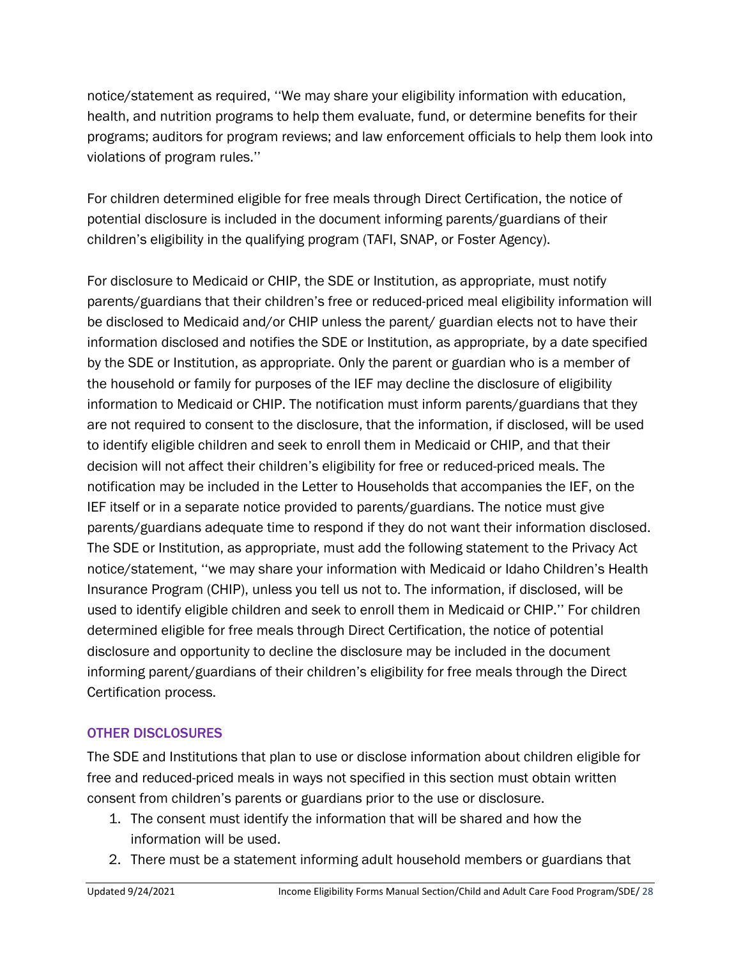notice/statement as required, ''We may share your eligibility information with education, health, and nutrition programs to help them evaluate, fund, or determine benefits for their programs; auditors for program reviews; and law enforcement officials to help them look into violations of program rules.''

For children determined eligible for free meals through Direct Certification, the notice of potential disclosure is included in the document informing parents/guardians of their children's eligibility in the qualifying program (TAFI, SNAP, or Foster Agency).

For disclosure to Medicaid or CHIP, the SDE or Institution, as appropriate, must notify parents/guardians that their children's free or reduced-priced meal eligibility information will be disclosed to Medicaid and/or CHIP unless the parent/ guardian elects not to have their information disclosed and notifies the SDE or Institution, as appropriate, by a date specified by the SDE or Institution, as appropriate. Only the parent or guardian who is a member of the household or family for purposes of the IEF may decline the disclosure of eligibility information to Medicaid or CHIP. The notification must inform parents/guardians that they are not required to consent to the disclosure, that the information, if disclosed, will be used to identify eligible children and seek to enroll them in Medicaid or CHIP, and that their decision will not affect their children's eligibility for free or reduced-priced meals. The notification may be included in the Letter to Households that accompanies the IEF, on the IEF itself or in a separate notice provided to parents/guardians. The notice must give parents/guardians adequate time to respond if they do not want their information disclosed. The SDE or Institution, as appropriate, must add the following statement to the Privacy Act notice/statement, ''we may share your information with Medicaid or Idaho Children's Health Insurance Program (CHIP), unless you tell us not to. The information, if disclosed, will be used to identify eligible children and seek to enroll them in Medicaid or CHIP.'' For children determined eligible for free meals through Direct Certification, the notice of potential disclosure and opportunity to decline the disclosure may be included in the document informing parent/guardians of their children's eligibility for free meals through the Direct Certification process.

### OTHER DISCLOSURES

The SDE and Institutions that plan to use or disclose information about children eligible for free and reduced-priced meals in ways not specified in this section must obtain written consent from children's parents or guardians prior to the use or disclosure.

- 1. The consent must identify the information that will be shared and how the information will be used.
- 2. There must be a statement informing adult household members or guardians that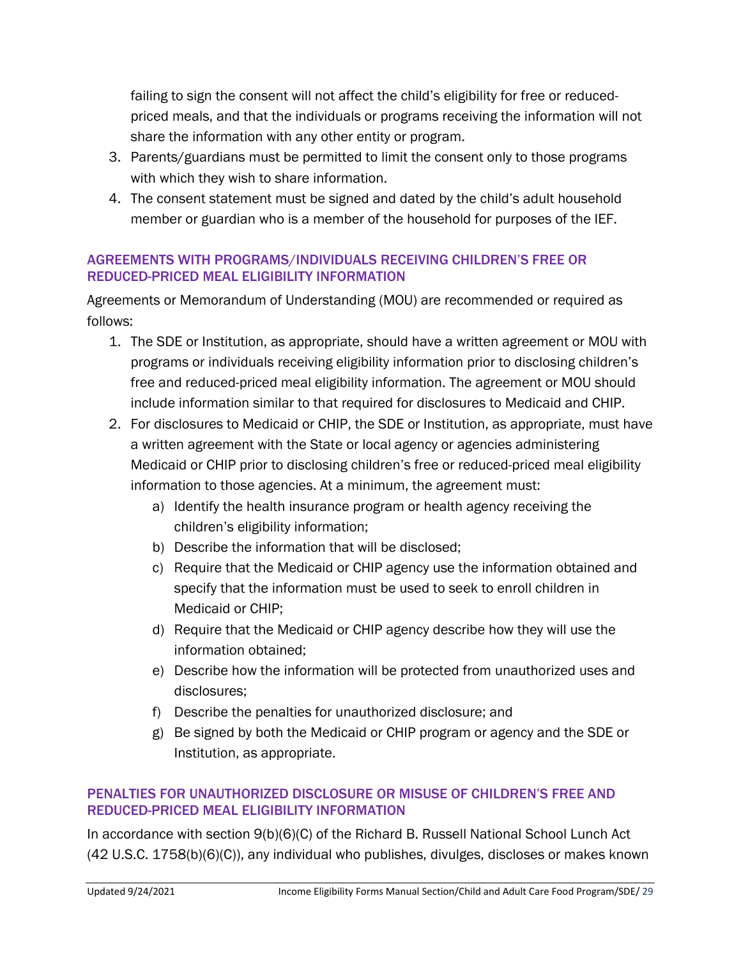failing to sign the consent will not affect the child's eligibility for free or reducedpriced meals, and that the individuals or programs receiving the information will not share the information with any other entity or program.

- 3. Parents/guardians must be permitted to limit the consent only to those programs with which they wish to share information.
- 4. The consent statement must be signed and dated by the child's adult household member or guardian who is a member of the household for purposes of the IEF.

#### AGREEMENTS WITH PROGRAMS/INDIVIDUALS RECEIVING CHILDREN'S FREE OR REDUCED-PRICED MEAL ELIGIBILITY INFORMATION

Agreements or Memorandum of Understanding (MOU) are recommended or required as follows:

- 1. The SDE or Institution, as appropriate, should have a written agreement or MOU with programs or individuals receiving eligibility information prior to disclosing children's free and reduced-priced meal eligibility information. The agreement or MOU should include information similar to that required for disclosures to Medicaid and CHIP.
- 2. For disclosures to Medicaid or CHIP, the SDE or Institution, as appropriate, must have a written agreement with the State or local agency or agencies administering Medicaid or CHIP prior to disclosing children's free or reduced-priced meal eligibility information to those agencies. At a minimum, the agreement must:
	- a) Identify the health insurance program or health agency receiving the children's eligibility information;
	- b) Describe the information that will be disclosed;
	- c) Require that the Medicaid or CHIP agency use the information obtained and specify that the information must be used to seek to enroll children in Medicaid or CHIP;
	- d) Require that the Medicaid or CHIP agency describe how they will use the information obtained;
	- e) Describe how the information will be protected from unauthorized uses and disclosures;
	- f) Describe the penalties for unauthorized disclosure; and
	- g) Be signed by both the Medicaid or CHIP program or agency and the SDE or Institution, as appropriate.

### PENALTIES FOR UNAUTHORIZED DISCLOSURE OR MISUSE OF CHILDREN'S FREE AND REDUCED-PRICED MEAL ELIGIBILITY INFORMATION

In accordance with section 9(b)(6)(C) of the Richard B. Russell National School Lunch Act (42 U.S.C. 1758(b)(6)(C)), any individual who publishes, divulges, discloses or makes known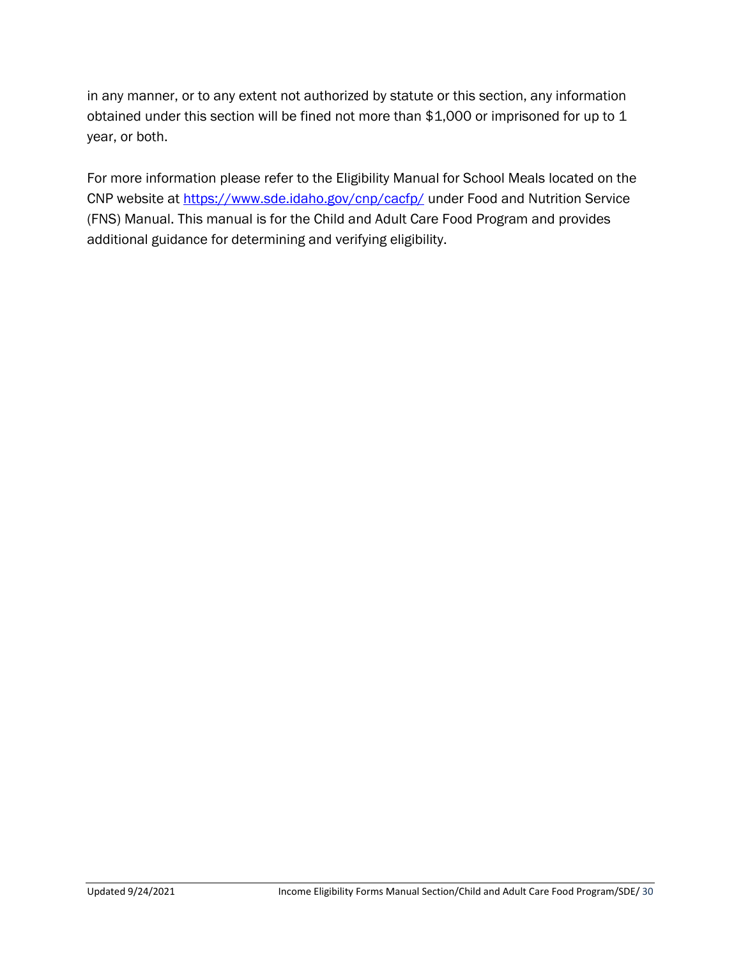in any manner, or to any extent not authorized by statute or this section, any information obtained under this section will be fined not more than \$1,000 or imprisoned for up to 1 year, or both.

For more information please refer to the Eligibility Manual for School Meals located on the CNP website at<https://www.sde.idaho.gov/cnp/cacfp/> under Food and Nutrition Service (FNS) Manual. This manual is for the Child and Adult Care Food Program and provides additional guidance for determining and verifying eligibility.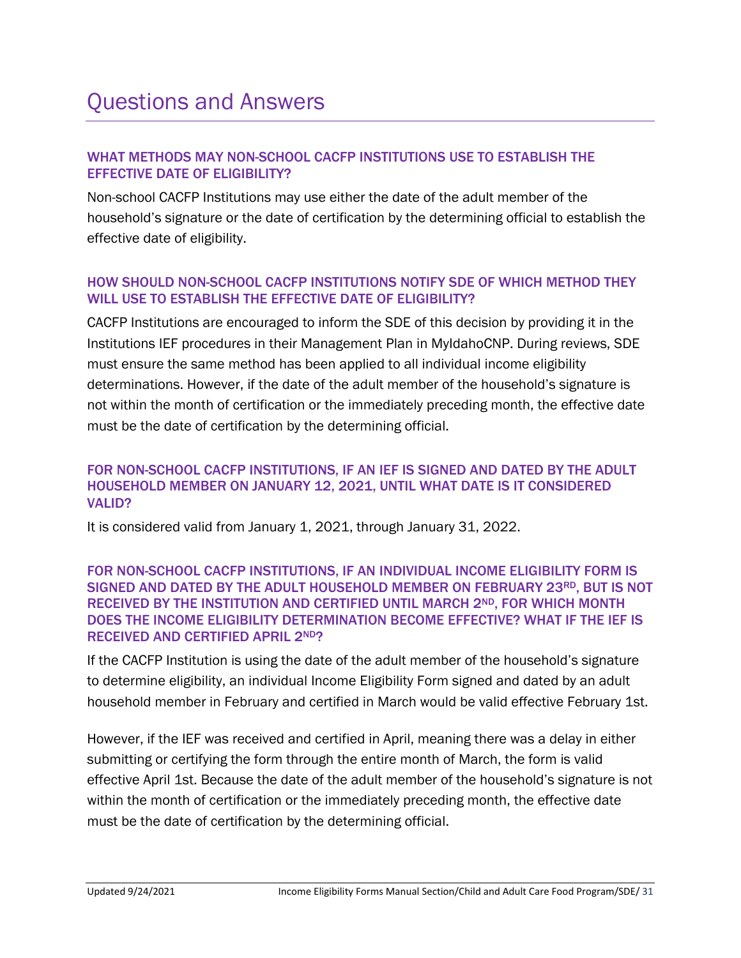#### WHAT METHODS MAY NON-SCHOOL CACFP INSTITUTIONS USE TO ESTABLISH THE EFFECTIVE DATE OF ELIGIBILITY?

Non-school CACFP Institutions may use either the date of the adult member of the household's signature or the date of certification by the determining official to establish the effective date of eligibility.

#### HOW SHOULD NON-SCHOOL CACFP INSTITUTIONS NOTIFY SDE OF WHICH METHOD THEY WILL USE TO ESTABLISH THE EFFECTIVE DATE OF ELIGIBILITY?

CACFP Institutions are encouraged to inform the SDE of this decision by providing it in the Institutions IEF procedures in their Management Plan in MyIdahoCNP. During reviews, SDE must ensure the same method has been applied to all individual income eligibility determinations. However, if the date of the adult member of the household's signature is not within the month of certification or the immediately preceding month, the effective date must be the date of certification by the determining official.

#### FOR NON-SCHOOL CACFP INSTITUTIONS, IF AN IEF IS SIGNED AND DATED BY THE ADULT HOUSEHOLD MEMBER ON JANUARY 12, 2021, UNTIL WHAT DATE IS IT CONSIDERED VALID?

It is considered valid from January 1, 2021, through January 31, 2022.

#### FOR NON-SCHOOL CACFP INSTITUTIONS, IF AN INDIVIDUAL INCOME ELIGIBILITY FORM IS SIGNED AND DATED BY THE ADULT HOUSEHOLD MEMBER ON FEBRUARY 23RD, BUT IS NOT RECEIVED BY THE INSTITUTION AND CERTIFIED UNTIL MARCH 2ND, FOR WHICH MONTH DOES THE INCOME ELIGIBILITY DETERMINATION BECOME EFFECTIVE? WHAT IF THE IEF IS RECEIVED AND CERTIFIED APRIL 2ND?

If the CACFP Institution is using the date of the adult member of the household's signature to determine eligibility, an individual Income Eligibility Form signed and dated by an adult household member in February and certified in March would be valid effective February 1st.

However, if the IEF was received and certified in April, meaning there was a delay in either submitting or certifying the form through the entire month of March, the form is valid effective April 1st. Because the date of the adult member of the household's signature is not within the month of certification or the immediately preceding month, the effective date must be the date of certification by the determining official.